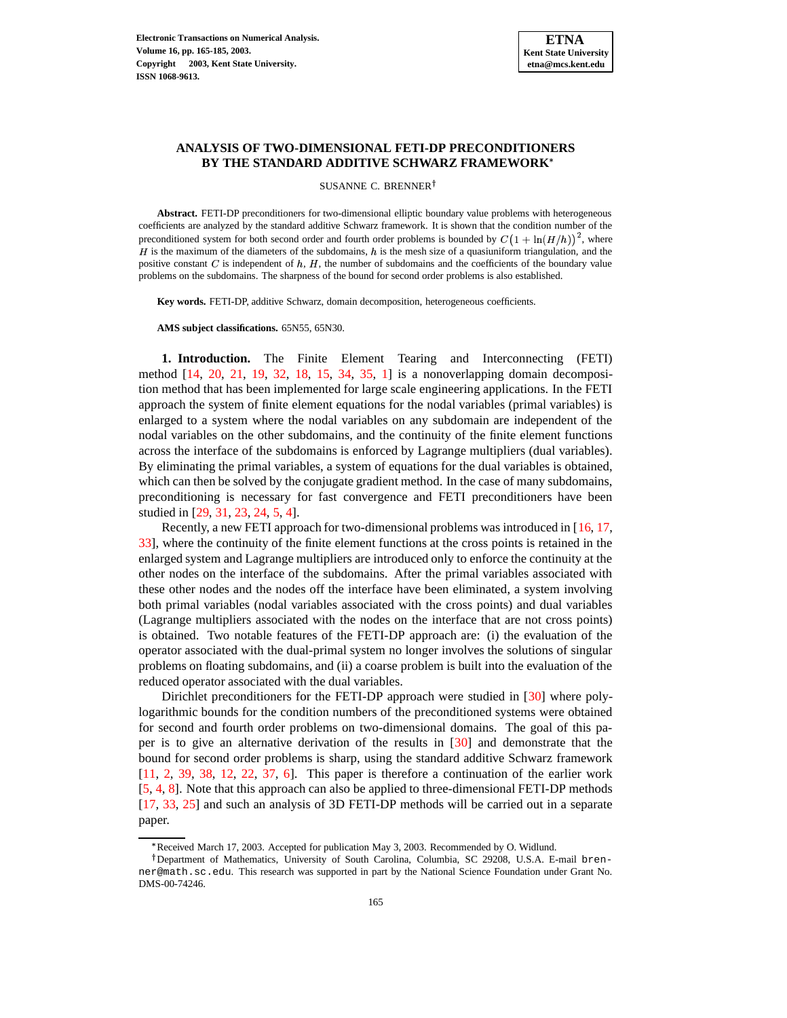

# **ANALYSIS OF TWO-DIMENSIONAL FETI-DP PRECONDITIONERS BY THE STANDARD ADDITIVE SCHWARZ FRAMEWORK**

SUSANNE C. BRENNER<sup>†</sup>

**Abstract.** FETI-DP preconditioners for two-dimensional elliptic boundary value problems with heterogeneous coefficients are analyzed by the standard additive Schwarz framework. It is shown that the condition number of the preconditioned system for both second order and fourth order problems is bounded by  $C(1 + \ln(H/h))^2$ , where H is the maximum of the diameters of the subdomains, h is the mesh size of a quasiuniform triangulation, and the positive constant  $C$  is independent of  $h$ ,  $H$ , the number of subdomains and the coefficients of the boundary value problems on the subdomains. The sharpness of the bound for second order problems is also established.

**Key words.** FETI-DP, additive Schwarz, domain decomposition, heterogeneous coefficients.

**AMS subject classifications.** 65N55, 65N30.

**1. Introduction.** The Finite Element Tearing and Interconnecting (FETI) method [\[14,](#page-19-0) [20,](#page-19-1) [21,](#page-19-2) [19,](#page-19-3) [32,](#page-20-0) [18,](#page-19-4) [15,](#page-19-5) [34,](#page-20-1) [35,](#page-20-2) [1\]](#page-19-6) is a nonoverlapping domain decomposition method that has been implemented for large scale engineering applications. In the FETI approach the system of finite element equations for the nodal variables (primal variables) is enlarged to a system where the nodal variables on any subdomain are independent of the nodal variables on the other subdomains, and the continuity of the finite element functions across the interface of the subdomains is enforced by Lagrange multipliers (dual variables). By eliminating the primal variables, a system of equations for the dual variables is obtained, which can then be solved by the conjugate gradient method. In the case of many subdomains, preconditioning is necessary for fast convergence and FETI preconditioners have been studied in [\[29,](#page-20-3) [31,](#page-20-4) [23,](#page-20-5) [24,](#page-20-6) [5,](#page-19-7) [4\]](#page-19-8).

Recently, a new FETI approach for two-dimensional problems was introduced in [\[16,](#page-19-9) [17,](#page-19-10) [33\]](#page-20-7), where the continuity of the finite element functions at the cross points is retained in the enlarged system and Lagrange multipliers are introduced only to enforce the continuity at the other nodes on the interface of the subdomains. After the primal variables associated with these other nodes and the nodes off the interface have been eliminated, a system involving both primal variables (nodal variables associated with the cross points) and dual variables (Lagrange multipliers associated with the nodes on the interface that are not cross points) is obtained. Two notable features of the FETI-DP approach are: (i) the evaluation of the operator associated with the dual-primal system no longer involves the solutions of singular problems on floating subdomains, and (ii) a coarse problem is built into the evaluation of the reduced operator associated with the dual variables.

Dirichlet preconditioners for the FETI-DP approach were studied in [\[30\]](#page-20-8) where polylogarithmic bounds for the condition numbers of the preconditioned systems were obtained for second and fourth order problems on two-dimensional domains. The goal of this paper is to give an alternative derivation of the results in [\[30\]](#page-20-8) and demonstrate that the bound for second order problems is sharp, using the standard additive Schwarz framework [\[11,](#page-19-11) [2,](#page-19-12) [39,](#page-20-9) [38,](#page-20-10) [12,](#page-19-13) [22,](#page-20-11) [37,](#page-20-12) [6\]](#page-19-14). This paper is therefore a continuation of the earlier work [\[5,](#page-19-7) [4,](#page-19-8) [8\]](#page-19-15). Note that this approach can also be applied to three-dimensional FETI-DP methods [\[17,](#page-19-10) [33,](#page-20-7) [25\]](#page-20-13) and such an analysis of 3D FETI-DP methods will be carried out in a separate paper.

<sup>\*</sup> Received March 17, 2003. Accepted for publication May 3, 2003. Recommended by O. Widlund.

<sup>&</sup>lt;sup>†</sup>Department of Mathematics, University of South Carolina, Columbia, SC 29208, U.S.A. E-mail brenner@math.sc.edu. This research was supported in part by the National Science Foundation under Grant No. DMS-00-74246.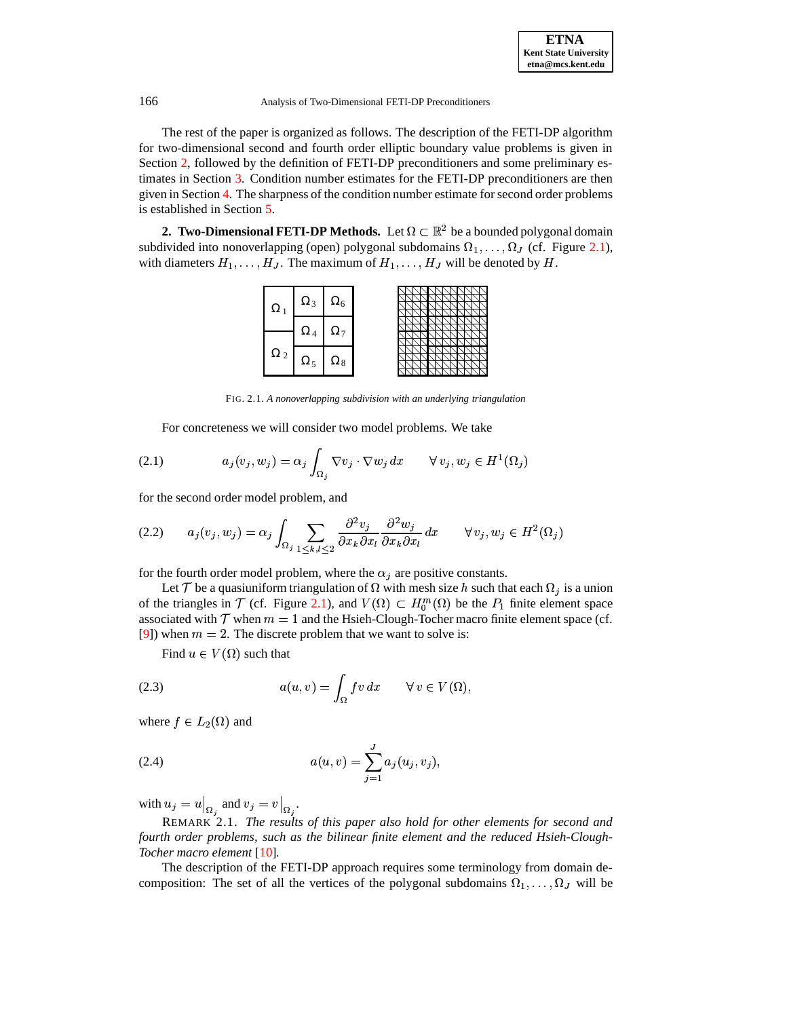The rest of the paper is organized as follows. The description of the FETI-DP algorithm for two-dimensional second and fourth order elliptic boundary value problems is given in Section [2,](#page-1-0) followed by the definition of FETI-DP preconditioners and some preliminary estimates in Section [3.](#page-6-0) Condition number estimates for the FETI-DP preconditioners are then given in Section [4.](#page-10-0) The sharpness of the condition number estimate forsecond order problems is established in Section [5.](#page-14-0)

<span id="page-1-0"></span>**2. Two-Dimensional FETI-DP Methods.** Let  $\Omega \subset \mathbb{R}^2$  be a bounded polygonal domain subdivided into nonoverlapping (open) polygonal subdomains  $\Omega_1, \ldots, \Omega_J$  (cf. Figure [2.1\)](#page-15-0), with diameters  $H_1, \ldots, H_J$ . The maximum of  $H_1, \ldots, H_J$  will be denoted by H.



<span id="page-1-3"></span>FIG. 2.1. *A nonoverlapping subdivision with an underlying triangulation*

For concreteness we will consider two model problems. We take

(2.1) 
$$
a_j(v_j, w_j) = \alpha_j \int_{\Omega_j} \nabla v_j \cdot \nabla w_j dx \qquad \forall v_j, w_j \in H^1(\Omega_j)
$$

for the second order model problem, and

$$
(2.2) \qquad a_j(v_j, w_j) = \alpha_j \int_{\Omega_j} \sum_{1 \le k, l \le 2} \frac{\partial^2 v_j}{\partial x_k \partial x_l} \frac{\partial^2 w_j}{\partial x_k \partial x_l} dx \qquad \forall v_j, w_j \in H^2(\Omega_j)
$$

for the fourth order model problem, where the  $\alpha_j$  are positive constants.

Let T be a quasiuniform triangulation of  $\Omega$  with mesh size h such that each  $\Omega_i$  is a union of the triangles in  $\mathcal T$  (cf. Figure [2.1\)](#page-15-0), and  $V(\Omega) \subset H_0^m(\Omega)$  be the  $P_1$  finite element space associated with  $\mathcal T$  when  $m=1$  and the Hsieh-Clough-Tocher macro finite element space (cf. [\[9\]](#page-19-16)) when  $m = 2$ . The discrete problem that we want to solve is:

<span id="page-1-2"></span>Find  $u \in V(\Omega)$  such that

(2.3) 
$$
a(u,v) = \int_{\Omega} fv \, dx \qquad \forall v \in V(\Omega),
$$

<span id="page-1-1"></span>where  $f \in L_2(\Omega)$  and

(2.4) 
$$
a(u,v) = \sum_{j=1}^{J} a_j(u_j,v_j),
$$

with  $u_j = u|_{\Omega_j}$  and  $v_j = v|_{\Omega_j}$ .

REMARK 2.1. *The results of this paper also hold for other elements for second and fourth order problems, such as the bilinear finite element and the reduced Hsieh-Clough-Tocher macro element* [\[10\]](#page-19-17)*.*

The description of the FETI-DP approach requires some terminology from domain decomposition: The set of all the vertices of the polygonal subdomains  $\Omega_1, \ldots, \Omega_J$  will be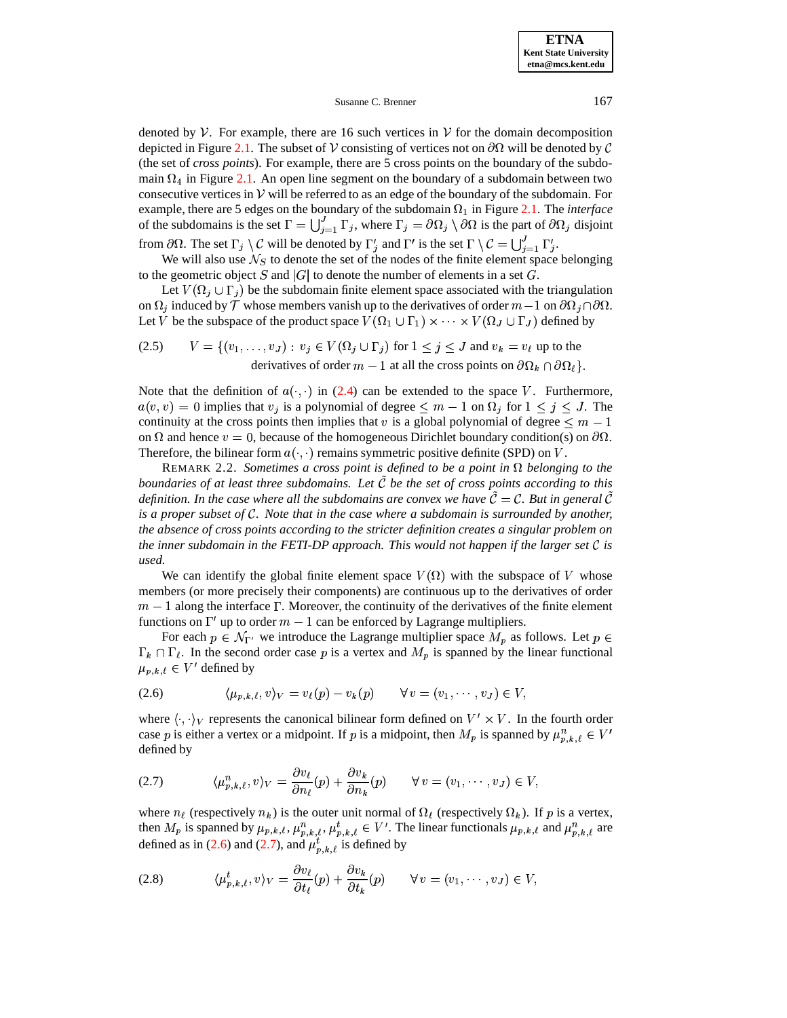denoted by  $V$ . For example, there are 16 such vertices in  $V$  for the domain decomposition depicted in Figure [2.1.](#page-15-0) The subset of V consisting of vertices not on  $\partial\Omega$  will be denoted by C (the set of *cross points*). For example, there are 5 cross points on the boundary of the subdomain  $\Omega_4$  in Figure [2.1.](#page-15-0) An open line segment on the boundary of a subdomain between two consecutive vertices in  $V$  will be referred to as an edge of the boundary of the subdomain. For example, there are 5 edges on the boundary of the subdomain  $\Omega_1$  in Figure [2.1.](#page-15-0) The *interface* of the subdomains is the set  $\Gamma = \bigcup_{i=1}^{J} \Gamma_i$ , where  $\Gamma_i = \partial \Omega_i \setminus \partial \Omega$  is the part of  $\partial \Omega_i$  disjoint from  $\partial\Omega$ . The set  $\Gamma_j\setminus\mathcal{C}$  will be denoted by  $\Gamma'_i$  and  $\Gamma'$  is the set  $\Gamma\setminus\mathcal{C}=\bigcup_{i=1}^J\Gamma'_i$ .

We will also use  $\mathcal{N}_S$  to denote the set of the nodes of the finite element space belonging to the geometric object S and  $|G|$  to denote the number of elements in a set G.

Let  $V(\Omega_i \cup \Gamma_i)$  be the subdomain finite element space associated with the triangulation on  $\Omega_i$  induced by  $\mathcal T$  whose members vanish up to the derivatives of order  $m-1$  on  $\partial\Omega_i \cap \partial\Omega$ . Let V be the subspace of the product space  $V(\Omega_1 \cup \Gamma_1) \times \cdots \times V(\Omega_J \cup \Gamma_J)$  defined by

(2.5) 
$$
V = \{(v_1, \ldots, v_J) : v_j \in V(\Omega_j \cup \Gamma_j) \text{ for } 1 \le j \le J \text{ and } v_k = v_\ell \text{ up to the derivatives of order } m - 1 \text{ at all the cross points on } \partial \Omega_k \cap \partial \Omega_\ell\}.
$$

Note that the definition of  $a(\cdot, \cdot)$  in [\(2.4\)](#page-1-1) can be extended to the space V. Furthermore,  $a(v, v) = 0$  implies that  $v_j$  is a polynomial of degree  $\leq m - 1$  on  $\Omega_j$  for  $1 \leq j \leq J$ . The continuity at the cross points then implies that v is a global polynomial of degree  $\leq m-1$ on  $\Omega$  and hence  $v = 0$ , because of the homogeneous Dirichlet boundary condition(s) on  $\partial\Omega$ . Therefore, the bilinear form  $a(\cdot, \cdot)$  remains symmetric positive definite (SPD) on V.

REMARK 2.2. *Sometimes a cross point is defined to be a point in*  $\Omega$  *belonging to the boundaries of at least three subdomains. Let* 1 *be the set of cross points according to this definition. In the case where all the subdomains are convex we have*  $C = C$ . But in general C *is a proper subset of . Note that in the case where a subdomain is surrounded by another, the absence of cross points according to the stricter definition creates a singular problem on the inner subdomain in the FETI-DP approach. This would not happen if the larger set is used.*

We can identify the global finite element space  $V(\Omega)$  with the subspace of V whose members (or more precisely their components) are continuous up to the derivatives of order  $m-1$  along the interface  $\Gamma$ . Moreover, the continuity of the derivatives of the finite element functions on  $\Gamma'$  up to order  $m-1$  can be enforced by Lagrange multipliers.

<span id="page-2-0"></span>For each  $p \in \mathcal{N}_{\Gamma'}$  we introduce the Lagrange multiplier space  $M_p$  as follows. Let  $p \in \mathcal{N}_{\Gamma'}$  $\Gamma_k \cap \Gamma_\ell$ . In the second order case p is a vertex and  $M_p$  is spanned by the linear functional  $\mu_{p,k,\ell}\in V'$  defined by

$$
(2.6) \qquad \langle \mu_{p,k,\ell}, v \rangle_V = v_\ell(p) - v_k(p) \qquad \forall \, v = (v_1, \cdots, v_J) \in V,
$$

<span id="page-2-1"></span>where  $\langle \cdot, \cdot \rangle_V$  represents the canonical bilinear form defined on  $V' \times V$ . In the fourth order case p is either a vertex or a midpoint. If p is a midpoint, then  $M_p$  is spanned by  $\mu_{p,k,\ell}^n \in V'$ defined by

(2.7) 
$$
\langle \mu_{p,k,\ell}^n, v \rangle_V = \frac{\partial v_\ell}{\partial n_\ell}(p) + \frac{\partial v_k}{\partial n_k}(p) \qquad \forall v = (v_1, \dots, v_J) \in V,
$$

<span id="page-2-2"></span>where  $n_\ell$  (respectively  $n_k$ ) is the outer unit normal of  $\Omega_\ell$  (respectively  $\Omega_k$ ). If p is a vertex, then  $M_p$  is spanned by  $\mu_{p,k,\ell}, \mu_{p,k,\ell}^n, \mu_{p,k,\ell}^k \in V'$ . The linear functionals  $\mu_{p,k,\ell}$  and  $\mu_{p,k,\ell}^n$  are defined as in [\(2.6\)](#page-2-0) and [\(2.7\)](#page-2-1), and  $\mu_{p,k}^{t}{}_{i}$  is defined by

(2.8) 
$$
\langle \mu_{p,k,\ell}^t, v \rangle_V = \frac{\partial v_\ell}{\partial t_\ell}(p) + \frac{\partial v_k}{\partial t_k}(p) \qquad \forall v = (v_1, \dots, v_J) \in V,
$$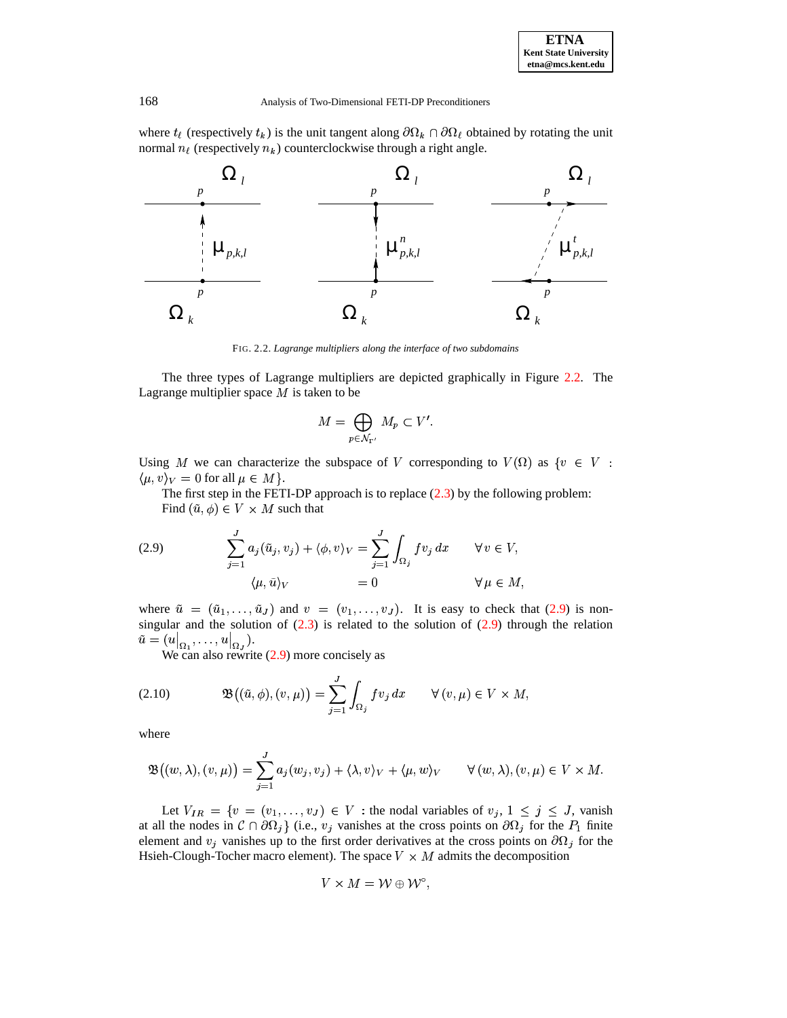where  $t_\ell$  (respectively  $t_k$ ) is the unit tangent along  $\partial \Omega_k \cap \partial \Omega_\ell$  obtained by rotating the unit normal  $n_{\ell}$  (respectively  $n_{k}$ ) counterclockwise through a right angle.



FIG. 2.2. *Lagrange multipliers along the interface of two subdomains*

The three types of Lagrange multipliers are depicted graphically in Figure [2.2.](#page-17-0) The Lagrange multiplier space  $M$  is taken to be

$$
M = \bigoplus_{p \in \mathcal{N}_{\Gamma'}} M_p \subset V'.
$$

Using M we can characterize the subspace of V corresponding to  $V(\Omega)$  as  $\{v \in V :$  $\langle \mu, v \rangle_V = 0$  for all  $\mu \in M$  }.

The first step in the FETI-DP approach is to replace  $(2.3)$  by the following problem: Find  $(\tilde{u}, \phi) \in V \times M$  such that

<span id="page-3-0"></span>(2.9) 
$$
\sum_{j=1}^{J} a_j(\tilde{u}_j, v_j) + \langle \phi, v \rangle_V = \sum_{j=1}^{J} \int_{\Omega_j} f v_j dx \quad \forall v \in V,
$$

$$
\langle \mu, \tilde{u} \rangle_V = 0 \qquad \forall \mu \in M,
$$

where  $\tilde{u} = (\tilde{u}_1, \ldots, \tilde{u}_J)$  and  $v = (v_1, \ldots, v_J)$ . It is easy to check that [\(2.9\)](#page-3-0) is nonsingular and the solution of  $(2.3)$  is related to the solution of  $(2.9)$  through the relation singular and the solution of  $\tilde{u} = (u|_{\Omega_1}, \dots, u|_{\Omega_J}).$ 

<span id="page-3-1"></span>We can also rewrite  $(2.9)$  more concisely as

(2.10) 
$$
\mathfrak{B}((\tilde{u},\phi),(v,\mu))=\sum_{j=1}^J\int_{\Omega_j}fv_j\,dx\qquad\forall\,(v,\mu)\in V\times M,
$$

where

$$
\mathfrak{B}\big((w,\lambda),(v,\mu)\big)=\sum_{j=1}^J a_j(w_j,v_j)+\langle\lambda,v\rangle_V+\langle\mu,w\rangle_V\qquad\forall\,(w,\lambda),(v,\mu)\in V\times M.
$$

Let  $V_{IR} = \{v = (v_1, \ldots, v_J) \in V : \text{the nodal variables of } v_j, 1 \leq j \leq J, \text{ vanish} \}$ at all the nodes in  $C \cap \partial \Omega_j$  (i.e.,  $v_j$  vanishes at the cross points on  $\partial \Omega_j$  for the  $P_1$  finite element and  $v_j$  vanishes up to the first order derivatives at the cross points on  $\partial\Omega_j$  for the Hsieh-Clough-Tocher macro element). The space  $V \times M$  admits the decomposition

$$
V\times M=\mathcal{W}\oplus \mathcal{W}^\circ,
$$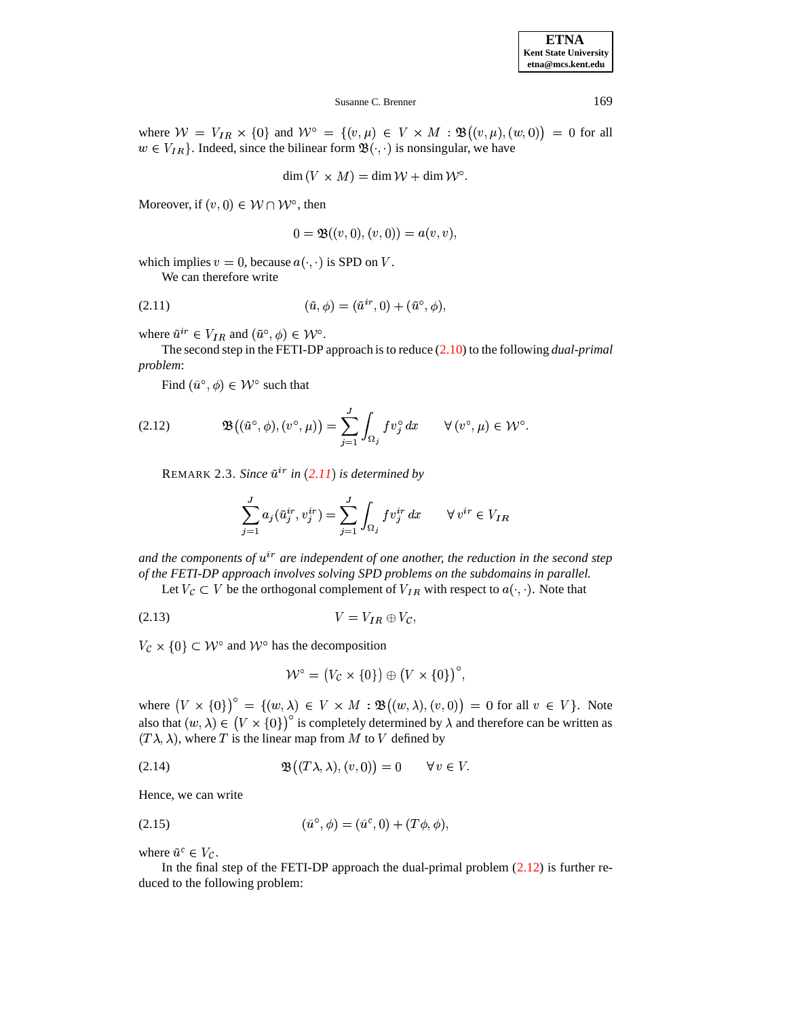| <b>ETNA</b>                  |
|------------------------------|
| <b>Kent State University</b> |
| etna@mcs.kent.edu            |

where  $W = V_{IR} \times \{0\}$  and  $W^{\circ} = \{(v,\mu) \in V \times M : \mathfrak{B}((v,\mu),(w,0)) = 0$  for all  $w \in V_{IR}$ . Indeed, since the bilinear form  $\mathfrak{B}(\cdot, \cdot)$  is nonsingular, we have

$$
\dim(V \times M) = \dim \mathcal{W} + \dim \mathcal{W}^{\circ}.
$$

Moreover, if  $(v, 0) \in W \cap W^{\circ}$ , then

$$
0 = \mathfrak{B}((v,0),(v,0)) = a(v,v),
$$

which implies  $v = 0$ , because  $a(\cdot, \cdot)$  is SPD on V.

<span id="page-4-0"></span>We can therefore write

(2.11) 
$$
(\tilde{u}, \phi) = (\tilde{u}^{ir}, 0) + (\tilde{u}^{\circ}, \phi),
$$

where  $\tilde{u}^{ir} \in V_{IR}$  and  $(\tilde{u}^{\circ}, \phi) \in \mathcal{W}^{\circ}$ .

The second step in the FETI-DP approach is to reduce [\(2.10\)](#page-3-1) to the following *dual-primal problem*:

-

<span id="page-4-1"></span>Find  $(\tilde{u}^{\circ}, \phi) \in \mathcal{W}^{\circ}$  such that

(2.12) 
$$
\mathfrak{B}((\tilde{u}^{\circ}, \phi), (v^{\circ}, \mu)) = \sum_{j=1}^{J} \int_{\Omega_j} f v_j^{\circ} dx \qquad \forall (v^{\circ}, \mu) \in \mathcal{W}^{\circ}.
$$

 $R$ EMARK 2.3. *Since*  $\tilde{u}^{ir}$  *in*  $(2.11)$  $(2.11)$  $(2.11)$  *is determined by* 

$$
\sum_{j=1}^J a_j (\tilde u_j^{ir}, v_j^{ir}) = \sum_{j=1}^J \int_{\Omega_j} f v_j^{ir} \, dx \qquad \forall \, v^{ir} \in V_{IR}
$$

*and* the components of  $u^{ir}$  are independent of one another, the reduction in the second step *of the FETI-DP approach involves solving SPD problems on the subdomains in parallel.*

Let  $V_c \subset V$  be the orthogonal complement of  $V_{IR}$  with respect to  $a(\cdot, \cdot)$ . Note that

$$
(2.13) \t\t V = V_{IR} \oplus V_{C},
$$

 $V_c \times \{0\} \subset \mathcal{W}^{\circ}$  and  $\mathcal{W}^{\circ}$  has the decomposition

<span id="page-4-4"></span><span id="page-4-3"></span>
$$
\mathcal{W}^{\circ} = (V_{\mathcal{C}} \times \{0\}) \oplus (V \times \{0\})^{\circ},
$$

where  $(V \times \{0\})^{\circ} = \{(w, \lambda) \in V \times M : \mathfrak{B}((w, \lambda), (v, 0)) = 0 \text{ for all } v \in V\}.$  Note also that  $(w, \lambda) \in (V \times \{0\})^{\circ}$  is completely determined by  $\lambda$  and therefore can be written as  $(T\lambda, \lambda)$ , where T is the linear map from M to V defined by

<span id="page-4-2"></span>
$$
(\mathbf{2.14}) \quad \mathfrak{B}((T\lambda,\lambda),(v,0)) = 0 \quad \forall v \in V.
$$

Hence, we can write

(2.15) 
$$
(\tilde{u}^{\circ}, \phi) = (\tilde{u}^c, 0) + (T\phi, \phi),
$$

where  $\tilde{u}^c \in V_c$ .

In the final step of the FETI-DP approach the dual-primal problem  $(2.12)$  is further reduced to the following problem: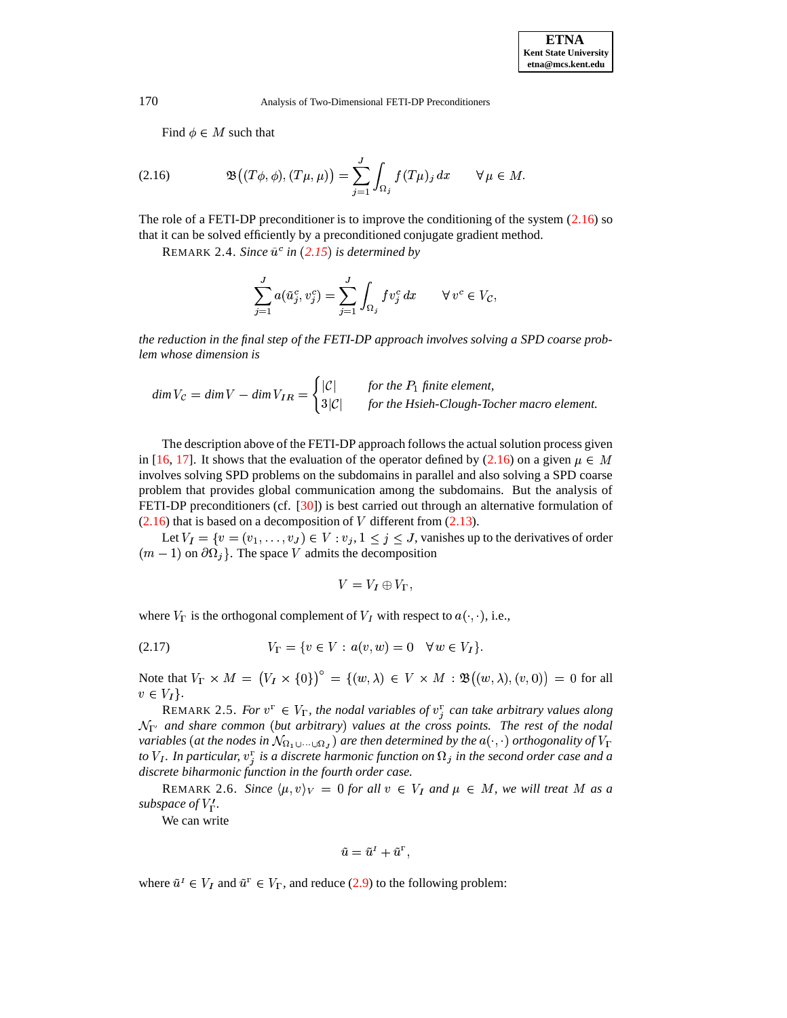<span id="page-5-0"></span>Find  $\phi \in M$  such that

(2.16) 
$$
\mathfrak{B}((T\phi,\phi),(T\mu,\mu))=\sum_{j=1}^J\int_{\Omega_j}f(T\mu)_j\,dx\qquad\forall\,\mu\in M.
$$

The role of a FETI-DP preconditioner is to improve the conditioning of the system [\(2.16\)](#page-5-0) so that it can be solved efficiently by a preconditioned conjugate gradient method.

REMARK 2.4. *Since*  $\tilde{u}^c$  *in* ([2.15](#page-4-2)) *is determined by* 

$$
\sum_{j=1}^J a(\tilde{u}_j^c, v_j^c) = \sum_{j=1}^J \int_{\Omega_j} f v_j^c dx \qquad \forall v^c \in V_{\mathcal{C}},
$$

*the reduction in the final step of the FETI-DP approach involves solving a SPD coarse problem whose dimension is*

 $\dim V_{\mathcal{C}} = \dim V - \dim V_{IR} = \left\{ \begin{array}{ll} |v| & \text{for} \\ |v| & \text{otherwise} \end{array} \right.$  $|\mathcal{C}|$  for the  $P_1$  finite element,<br> $3|\mathcal{C}|$  for the Hsieh-Clough-Tocher macro element.

The description above of the FETI-DP approach follows the actual solution process given in [\[16,](#page-19-9) [17\]](#page-19-10). It shows that the evaluation of the operator defined by [\(2.16\)](#page-5-0) on a given  $\mu \in M$ involves solving SPD problems on the subdomains in parallel and also solving a SPD coarse problem that provides global communication among the subdomains. But the analysis of FETI-DP preconditioners (cf. [\[30\]](#page-20-8)) is best carried out through an alternative formulation of  $(2.16)$  that is based on a decomposition of V different from  $(2.13)$ .

Let  $V_I = \{v = (v_1, \ldots, v_J) \in V : v_j, 1 \leq j \leq J$ , vanishes up to the derivatives of order  $(m - 1)$  on  $\partial\Omega_i$ . The space V admits the decomposition

<span id="page-5-1"></span>
$$
V = V_I \oplus V_{\Gamma},
$$

where  $V_{\Gamma}$  is the orthogonal complement of  $V_I$  with respect to  $a(\cdot, \cdot)$ , i.e.,

(2.17) 
$$
V_{\Gamma} = \{v \in V : a(v, w) = 0 \quad \forall w \in V_I\}.
$$

Note that  $V_{\Gamma} \times M = (V_I \times \{0\})^{\circ} = \{(w, \lambda) \in V \times M : \mathfrak{B}((w, \lambda), (v, 0)) = 0 \text{ for all }$  $v \in V_I$ .

REMARK 2.5. *For*  $v^{\Gamma} \in V_{\Gamma}$ , the nodal variables of  $v_j^{\Gamma}$  can take arbitrary values along  $\mathcal{N}_{\Gamma'}$  and share common (but arbitrary) values at the cross points. The rest of the nodal<br>variables (at the nodes in  $\mathcal{N}_{\Omega}$   $\cup$   $\cup$   $\Omega$ ) are then determined by the  $a(\cdot)$  orthogonality of  $V_{\Gamma}$ variables (at the nodes in  $\mathcal{N}_{\Omega_1\cup\dots\cup\Omega_J}$ ) are then determined by the  $a(\cdot,\cdot)$  orthogonality of  $V_\Gamma$ to  $V_I$ . In particular,  $v_j^{\Gamma}$  is a discrete harmonic function on  $\Omega_j$  in the second order case and a *discrete biharmonic function in the fourth order case.*

REMARK 2.6. *Since*  $\langle \mu, v \rangle_V = 0$  *for all*  $v \in V_I$  *and*  $\mu \in M$ *, we will treat* M *as a subspace of*  $V'_\Gamma$ *.* 

We can write

$$
\tilde{u} = \tilde{u}^I + \tilde{u}^\Gamma,
$$

where  $\tilde{u}^I \in V_I$  and  $\tilde{u}^{\Gamma} \in V_{\Gamma}$ , and reduce [\(2.9\)](#page-3-0) to the following problem: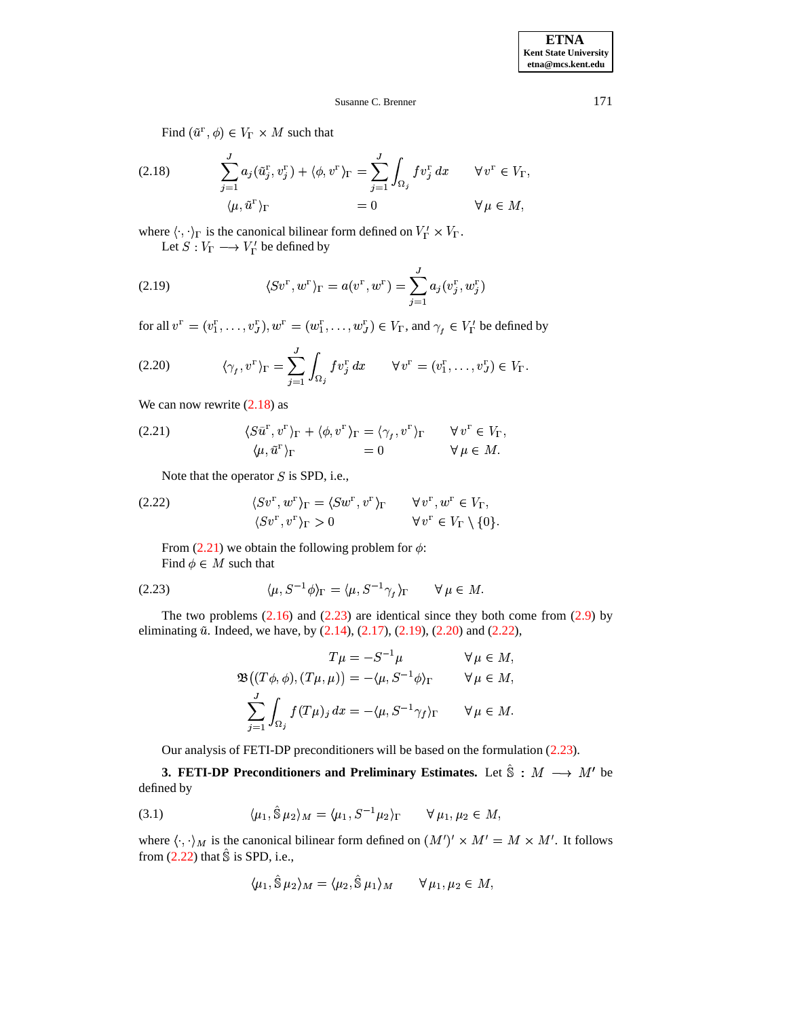Find  $(\tilde{u}^{\Gamma}, \phi) \in V_{\Gamma} \times M$  such that

<span id="page-6-1"></span>(2.18) 
$$
\sum_{j=1}^{J} a_j (\tilde{u}_j^{\mathbf{r}}, v_j^{\mathbf{r}}) + \langle \phi, v^{\mathbf{r}} \rangle_{\Gamma} = \sum_{j=1}^{J} \int_{\Omega_j} f v_j^{\mathbf{r}} dx \qquad \forall v^{\mathbf{r}} \in V_{\Gamma},
$$

$$
\langle \mu, \tilde{u}^{\mathbf{r}} \rangle_{\Gamma} = 0 \qquad \forall \mu \in M,
$$

<span id="page-6-4"></span>where  $\langle \cdot, \cdot \rangle_{\Gamma}$  is the canonical bilinear form defined on  $V_{\Gamma}' \times V_{\Gamma}$ . Let  $S: V_{\Gamma} \longrightarrow V_{\Gamma}'$  be defined by

(2.19) 
$$
\langle S v^{\Gamma}, w^{\Gamma} \rangle_{\Gamma} = a(v^{\Gamma}, w^{\Gamma}) = \sum_{j=1}^{J} a_j(v_j^{\Gamma}, w_j^{\Gamma})
$$

for all  $v^{\Gamma} = (v_1^{\Gamma}, \dots, v_J^{\Gamma}), w^{\Gamma} = (w_1^{\Gamma}, \dots, w_J^{\Gamma}) \in V_{\Gamma}$ , and  $\gamma_t \in V_{\Gamma}'$  be defined by

(2.20) 
$$
\langle \gamma_f, v^{\Gamma} \rangle_{\Gamma} = \sum_{j=1}^{J} \int_{\Omega_j} f v_j^{\Gamma} dx \qquad \forall v^{\Gamma} = (v_1^{\Gamma}, \dots, v_J^{\Gamma}) \in V_{\Gamma}.
$$

<span id="page-6-2"></span>We can now rewrite  $(2.18)$  as

(2.21) 
$$
\langle S\tilde{u}^{\Gamma}, v^{\Gamma}\rangle_{\Gamma} + \langle \phi, v^{\Gamma}\rangle_{\Gamma} = \langle \gamma_{f}, v^{\Gamma}\rangle_{\Gamma} \qquad \forall v^{\Gamma} \in V_{\Gamma}, \langle \mu, \tilde{u}^{\Gamma}\rangle_{\Gamma} = 0 \qquad \forall \mu \in M.
$$

Note that the operator  $S$  is SPD, i.e.,

<span id="page-6-6"></span>(2.22) 
$$
\langle Sv^{\Gamma}, w^{\Gamma}\rangle_{\Gamma} = \langle Sw^{\Gamma}, v^{\Gamma}\rangle_{\Gamma} \qquad \forall v^{\Gamma}, w^{\Gamma} \in V_{\Gamma},
$$

$$
\langle Sv^{\Gamma}, v^{\Gamma}\rangle_{\Gamma} > 0 \qquad \forall v^{\Gamma} \in V_{\Gamma} \setminus \{0\}.
$$

<span id="page-6-3"></span>From [\(2.21\)](#page-6-2) we obtain the following problem for  $\phi$ : Find  $\phi \in M$  such that

$$
(2.23) \qquad \langle \mu, S^{-1} \phi \rangle_{\Gamma} = \langle \mu, S^{-1} \gamma_{f} \rangle_{\Gamma} \qquad \forall \mu \in M.
$$

The two problems  $(2.16)$  and  $(2.23)$  are identical since they both come from  $(2.9)$  by eliminating  $\tilde{u}$ . Indeed, we have, by  $(2.14)$ ,  $(2.17)$ ,  $(2.19)$ ,  $(2.20)$  and  $(2.22)$ ,

$$
T\mu = -S^{-1}\mu \qquad \forall \mu \in M,
$$
  

$$
\mathfrak{B}((T\phi,\phi),(T\mu,\mu)) = -\langle \mu, S^{-1}\phi \rangle_{\Gamma} \qquad \forall \mu \in M,
$$
  

$$
\sum_{j=1}^{J} \int_{\Omega_{j}} f(T\mu)_{j} dx = -\langle \mu, S^{-1}\gamma_{f} \rangle_{\Gamma} \qquad \forall \mu \in M.
$$

Our analysis of FETI-DP preconditioners will be based on the formulation [\(2.23\)](#page-6-3).

<span id="page-6-7"></span><span id="page-6-0"></span>**3. FETI-DP Preconditioners and Preliminary Estimates.** Let  $\hat{S}$  :  $M \rightarrow M'$  be defined by

$$
(3.1) \qquad \langle \mu_1, \hat{\mathbb{S}} \mu_2 \rangle_M = \langle \mu_1, S^{-1} \mu_2 \rangle_{\Gamma} \qquad \forall \mu_1, \mu_2 \in M,
$$

where  $\langle \cdot, \cdot \rangle_M$  is the canonical bilinear form defined on  $(M')' \times M' = M \times M'$ . It follows from  $(2.22)$  that  $\hat{\mathbb{S}}$  is SPD, i.e.,

$$
\langle \mu_1, \hat{\mathbb{S}} \mu_2 \rangle_M = \langle \mu_2, \hat{\mathbb{S}} \mu_1 \rangle_M \qquad \forall \mu_1, \mu_2 \in M,
$$

<span id="page-6-5"></span>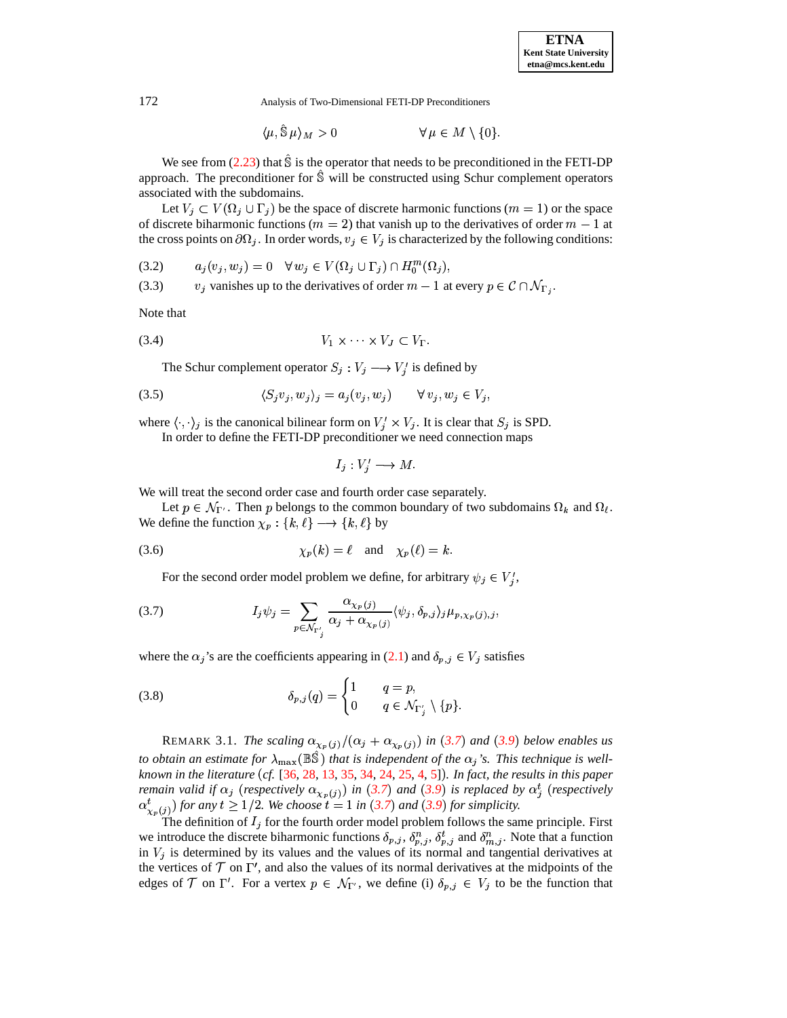$$
\langle \mu, \hat{\mathbb{S}} \mu \rangle_M > 0 \qquad \forall \mu \in M \setminus \{0\}.
$$

We see from [\(2.23\)](#page-6-3) that  $\hat{S}$  is the operator that needs to be preconditioned in the FETI-DP approach. The preconditioner for  $\hat{\mathbb{S}}$  will be constructed using Schur complement operators associated with the subdomains.

Let  $V_j \subset V(\Omega_j \cup \Gamma_j)$  be the space of discrete harmonic functions  $(m = 1)$  or the space of discrete biharmonic functions ( $m = 2$ ) that vanish up to the derivatives of order  $m - 1$  at the cross points on  $\partial\Omega_j$ . In order words,  $v_j \in V_j$  is characterized by the following conditions:

$$
(3.2) \qquad a_j(v_j, w_j) = 0 \quad \forall \, w_j \in V(\Omega_j \cup \Gamma_j) \cap H_0^m(\Omega_j),
$$

(3.2)  $a_j(v_j, w_j) = 0 \quad \forall w_j \in V(\Omega_j \cup \Gamma_j) \cap H_0^m(\Omega_j),$ <br>
(3.3)  $v_j$  vanishes up to the derivatives of order  $m-1$  at every  $p \in \mathcal{C} \cap \mathcal{N}_{\Gamma_j}$ .

<span id="page-7-1"></span>Note that

$$
(3.4) \t\t V_1 \times \cdots \times V_J \subset V_{\Gamma}.
$$

The Schur complement operator  $S_j : V_j \longrightarrow V'_j$  is defined by

$$
(3.5) \t\t \langle S_j v_j, w_j \rangle_j = a_j(v_j, w_j) \t\t \forall v_j, w_j \in V_j,
$$

where  $\langle \cdot, \cdot \rangle_j$  is the canonical bilinear form on  $V'_i \times V_j$ . It is clear that  $S_j$  is SPD.

In order to define the FETI-DP preconditioner we need connection maps

<span id="page-7-0"></span>
$$
I_j: V'_i \longrightarrow M.
$$

We will treat the second order case and fourth order case separately.

Let  $p \in \mathcal{N}_{\Gamma'}$ . Then p belongs to the common boundary of two subdomains  $\Omega_k$  and  $\Omega_\ell$ . We define the function  $\chi_p: \{k,\ell\} \longrightarrow \{k,\ell\}$  by

(3.6) 
$$
\chi_p(k) = \ell \quad \text{and} \quad \chi_p(\ell) = k.
$$

For the second order model problem we define, for arbitrary  $\psi_j \in V'_i$ ,

(3.7) 
$$
I_j \psi_j = \sum_{p \in \mathcal{N}_{\Gamma'_j}} \frac{\alpha_{\chi_p(j)}}{\alpha_j + \alpha_{\chi_p(j)}} \langle \psi_j, \delta_{p,j} \rangle_j \mu_{p, \chi_p(j), j},
$$

where the  $\alpha_j$ 's are the coefficients appearing in [\(2.1\)](#page-1-3) and  $\delta_{p,j} \in V_j$  satisfies

(3.8) 
$$
\delta_{p,j}(q) = \begin{cases} 1 & q = p, \\ 0 & q \in \mathcal{N}_{\Gamma'_j} \setminus \{p\}. \end{cases}
$$

REMARK 3.1. *The scaling*  $\alpha_{\chi_n(j)} / (\alpha_j + \alpha_{\chi_n(j)})$  *in* ([3.7](#page-7-0)) *and* ([3.9](#page-8-0)) *below enables us to obtain an estimate for*  $\lambda_{\max}(\mathbb{B}\hat{\mathbb{S}})$  *that is independent of the*  $\alpha_j$ 's. *This technique is wellknown in the literature cf.* [\[36,](#page-20-14) [28,](#page-20-15) [13,](#page-19-18) [35,](#page-20-2) [34,](#page-20-1) [24,](#page-20-6) [25,](#page-20-13) [4,](#page-19-8) [5\]](#page-19-7)" *. In fact, the results in this paper remain valid if*  $\alpha_i$  (*respectively*  $\alpha_{x_n(i)}$ ) *in* ([3.7](#page-7-0)) *and* ([3.9](#page-8-0)) *is replaced by*  $\alpha_i^t$  (*respectively*  $\alpha^t_{\infty}$  (i) for any  $t \geq 1/2$ . We choose  $t = 1$  in ([3.7](#page-7-0)) and ([3.9](#page-8-0)) for simplicity.

The definition of  $I_i$  for the fourth order model problem follows the same principle. First we introduce the discrete biharmonic functions  $\delta_{p,j}$ ,  $\delta_{p,j}^n$ ,  $\delta_{p,j}^t$  and  $\delta_{m,j}^n$ . Note that a function in  $V_j$  is determined by its values and the values of its normal and tangential derivatives at the vertices of  $T$  on  $\Gamma'$ , and also the values of its normal derivatives at the midpoints of the edges of  $\mathcal T$  on  $\Gamma'$ . For a vertex  $p \in \mathcal N_{\Gamma'}$ , we define (i)  $\delta_{p,j} \in V_j$  to be the function that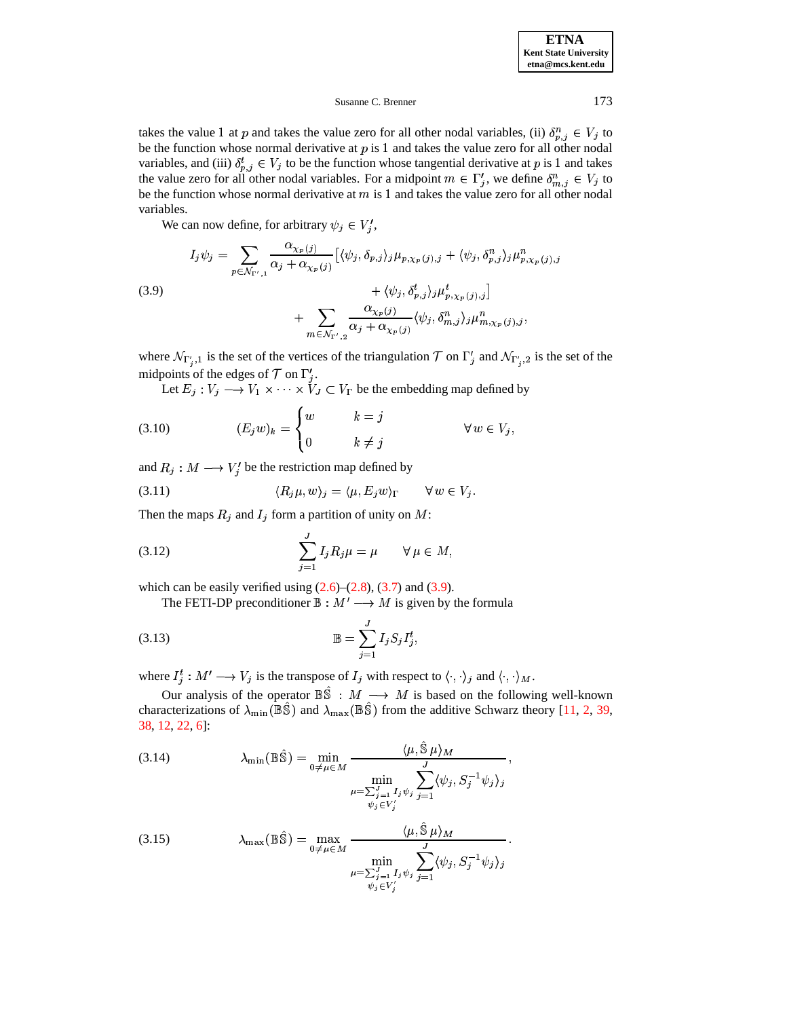takes the value 1 at p and takes the value zero for all other nodal variables, (ii)  $\delta_{n}^n$   $_i \in V_i$  to be the function whose normal derivative at  $p$  is 1 and takes the value zero for all other nodal variables, and (iii)  $\delta_{p,i}^t \in V_j$  to be the function whose tangential derivative at p is 1 and takes the value zero for all other nodal variables. For a midpoint  $m \in \Gamma'_j$ , we define  $\delta_{m,j}^n \in V_j$  to be the function whose normal derivative at  $m$  is 1 and takes the value zero for all other nodal variables.

We can now define, for arbitrary  $\psi_i \in V'_i$ ,

<span id="page-8-0"></span>(3.9)  

$$
I_{j}\psi_{j} = \sum_{p \in \mathcal{N}_{\Gamma',1}} \frac{\alpha_{\chi_{p}(j)}}{\alpha_{j} + \alpha_{\chi_{p}(j)}} \left[ \langle \psi_{j}, \delta_{p,j} \rangle_{j} \mu_{p,\chi_{p}(j),j} + \langle \psi_{j}, \delta_{p,j}^{n} \rangle_{j} \mu_{p,\chi_{p}(j),j}^{n} + \langle \psi_{j}, \delta_{p,j}^{t} \rangle_{j} \mu_{p,\chi_{p}(j),j}^{t} \right] + \sum_{m \in \mathcal{N}_{\Gamma',2}} \frac{\alpha_{\chi_{p}(j)}}{\alpha_{j} + \alpha_{\chi_{p}(j)}} \langle \psi_{j}, \delta_{m,j}^{n} \rangle_{j} \mu_{m,\chi_{p}(j),j}^{n},
$$

where  $\mathcal{N}_{\Gamma'_{i},1}$  is the set of the vertices of the triangulation  $\mathcal{T}$  on  $\Gamma'_{i}$  and  $\mathcal{N}_{\Gamma'_{i},2}$  is the set of the midpoints of the edges of  $\mathcal T$  on  $\Gamma'_i$ .

<span id="page-8-3"></span><span id="page-8-2"></span>Let  $E_j : V_j \longrightarrow V_1 \times \cdots \times V_J \subset V_\Gamma$  be the embedding map defined by

(3.10) 
$$
(E_j w)_k = \begin{cases} w & k = j \\ 0 & k \neq j \end{cases} \forall w \in V_j,
$$

and  $R_j : M \longrightarrow V'_j$  be the restriction map defined by

<span id="page-8-1"></span>(3.11) 
$$
\langle R_j \mu, w \rangle_j = \langle \mu, E_j w \rangle_{\Gamma} \quad \forall w \in V_j.
$$

Then the maps  $R_j$  and  $I_j$  form a partition of unity on M:

(3.12) 
$$
\sum_{j=1}^{J} I_j R_j \mu = \mu \qquad \forall \ \mu \in M,
$$

which can be easily verified using  $(2.6)$ – $(2.8)$ ,  $(3.7)$  and  $(3.9)$ .

The FETI-DP preconditioner  $\mathbb{B}: M' \longrightarrow M$  is given by the formula

$$
\mathbb{B} = \sum_{j=1}^{J} I_j S_j I_j^t,
$$

where  $I_j^t: M' \longrightarrow V_j$  is the transpose of  $I_j$  with respect to  $\langle \cdot, \cdot \rangle_j$  and  $\langle \cdot, \cdot \rangle_M$ .

Our analysis of the operator  $\mathbb{B}\hat{\mathbb{S}} : M \longrightarrow M$  is based on the following well-known characterizations of  $\lambda_{\min}(\mathbb{B}\hat{\mathbb{S}})$  and  $\lambda_{\max}(\mathbb{B}\hat{\mathbb{S}})$  from the additive Schwarz theory [\[11,](#page-19-11) [2,](#page-19-12) [39,](#page-20-9) [38,](#page-20-10) [12,](#page-19-13) [22,](#page-20-11) [6\]](#page-19-14):

<span id="page-8-4"></span>(3.14) 
$$
\lambda_{\min}(\mathbb{B}\hat{\mathbb{S}}) = \min_{0 \neq \mu \in M} \frac{\langle \mu, \hat{\mathbb{S}} \mu \rangle_M}{\min_{\substack{\mu = \sum_{j=1}^J I_j \psi_j \\ \psi_j \in V'_j}} \sum_{j=1}^J \langle \psi_j, S_j^{-1} \psi_j \rangle_j},
$$
  
(3.15) 
$$
\lambda_{\max}(\mathbb{B}\hat{\mathbb{S}}) = \max_{\substack{\mu = \sum_{j=1}^J I_j \psi_j \\ \chi_j \in V'_j}} \frac{\langle \mu, \hat{\mathbb{S}} \mu \rangle_M}{\sum_{j=1}^J I_j \psi_j \sum_{j=1}^J \langle \mu, \hat{\chi}_j \mu \rangle_M}.
$$

<span id="page-8-5"></span>(3.15) 
$$
\lambda_{\max}(\mathbb{BS}) = \max_{0 \neq \mu \in M} \frac{1}{\min_{\substack{u = \sum_{j=1}^{J} I_j \psi_j \\ \psi_j \in V'_j}} \sum_{j=1}^{J} \langle \psi_j, S_j^{-1} \psi_j \rangle_j}.
$$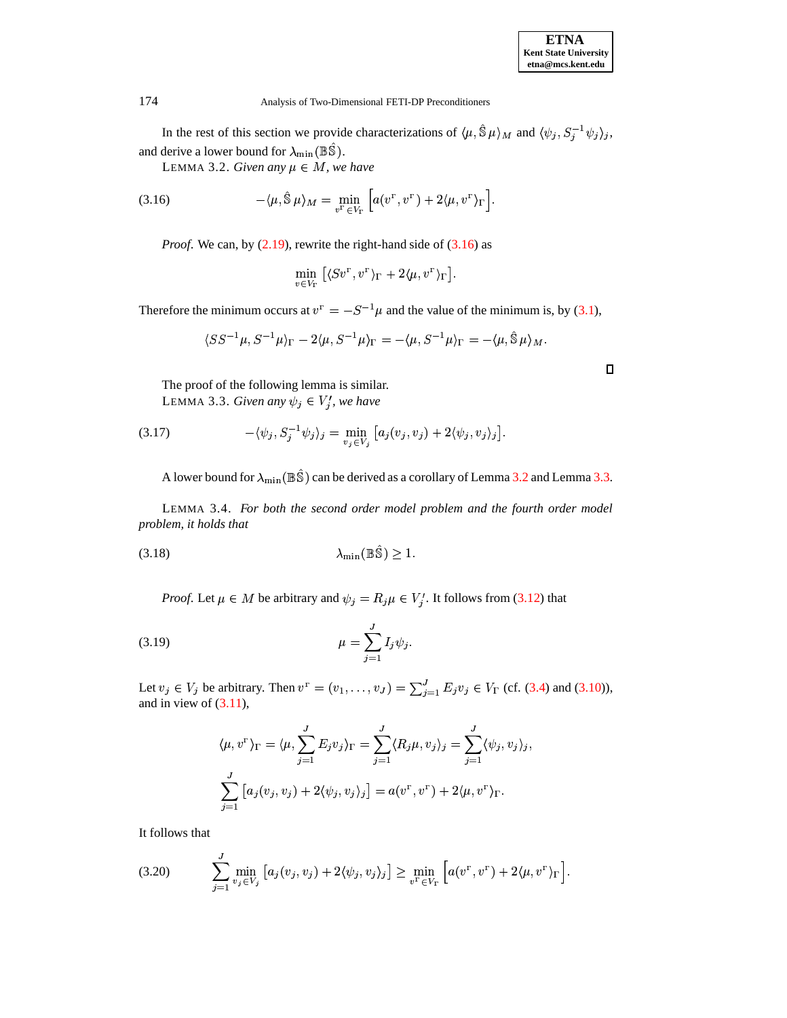| <b>ETNA</b>                  |
|------------------------------|
| <b>Kent State University</b> |
| etna@mcs.kent.edu            |

In the rest of this section we provide characterizations of  $\langle \mu, \hat{S} \mu \rangle_M$  and  $\langle \psi_i, S_i^{-1} \psi_i \rangle_i$ , and derive a lower bound for  $\lambda_{\min}(\mathbb{B}\hat{\mathbb{S}})$ .

<span id="page-9-1"></span>LEMMA 3.2. *Given any*  $\mu \in M$ , *we have* 

(3.16) 
$$
-\langle \mu, \hat{\mathbb{S}} \mu \rangle_M = \min_{v^{\Gamma} \in V_{\Gamma}} \left[ a(v^{\Gamma}, v^{\Gamma}) + 2 \langle \mu, v^{\Gamma} \rangle_{\Gamma} \right].
$$

*Proof.* We can, by [\(2.19\)](#page-6-4), rewrite the right-hand side of [\(3.16\)](#page-9-0) as

<span id="page-9-2"></span><span id="page-9-0"></span>
$$
\min_{v\in V_\Gamma}\big[\langle S v^\Gamma,v^\Gamma\rangle_\Gamma+2\langle \mu,v^\Gamma\rangle_\Gamma\big].
$$

Therefore the minimum occurs at  $v^{\Gamma} = -S^{-1}\mu$  and the value of the minimum is, by [\(3.1\)](#page-6-7),

<span id="page-9-3"></span>
$$
\langle S S^{-1}\mu, S^{-1}\mu\rangle_\Gamma - 2\langle \mu, S^{-1}\mu\rangle_\Gamma = -\langle \mu, S^{-1}\mu\rangle_\Gamma = -\langle \mu, \hat{\mathbb{S}}\mu\rangle_M.
$$

The proof of the following lemma is similar. LEMMA 3.3. *Given any*  $\psi_j \in V'_j$ , we have

(3.17) 
$$
-\langle \psi_j, S_j^{-1} \psi_j \rangle_j = \min_{v_j \in V_j} \left[ a_j(v_j, v_j) + 2 \langle \psi_j, v_j \rangle_j \right].
$$

A lower bound for  $\lambda_{\min}(\mathbb{B}\hat{\mathbb{S}})$  can be derived as a corollary of Lemma [3.2](#page-9-1) and Lemma [3.3.](#page-9-2)

<span id="page-9-7"></span><span id="page-9-5"></span>LEMMA 3.4. *For both the second order model problem and the fourth order model problem, it holds that*

$$
\lambda_{\min}(\mathbb{B}\hat{\mathbb{S}}) \ge 1.
$$

*Proof.* Let  $\mu \in M$  be arbitrary and  $\psi_j = R_j \mu \in V'_j$ . It follows from [\(3.12\)](#page-8-1) that

(3.19) 
$$
\mu = \sum_{j=1}^{J} I_j \psi_j.
$$

Let  $v_j \in V_j$  be arbitrary. Then  $v^{\Gamma} = (v_1, \ldots, v_J) = \sum_{i=1}^{J} E_i v_i \in V_{\Gamma}$  (cf. [\(3.4\)](#page-7-1) and [\(3.10\)](#page-8-2)), and in view of [\(3.11\)](#page-8-3),

$$
\langle \mu, v^{\Gamma} \rangle_{\Gamma} = \langle \mu, \sum_{j=1}^{J} E_j v_j \rangle_{\Gamma} = \sum_{j=1}^{J} \langle R_j \mu, v_j \rangle_j = \sum_{j=1}^{J} \langle \psi_j, v_j \rangle_j,
$$
  

$$
\sum_{j=1}^{J} [a_j(v_j, v_j) + 2\langle \psi_j, v_j \rangle_j] = a(v^{\Gamma}, v^{\Gamma}) + 2\langle \mu, v^{\Gamma} \rangle_{\Gamma}.
$$

<span id="page-9-4"></span>It follows that

$$
(3.20) \qquad \sum_{j=1}^J \min_{v_j \in V_j} \left[ a_j(v_j, v_j) + 2 \langle \psi_j, v_j \rangle_j \right] \ge \min_{v^{\Gamma} \in V_{\Gamma}} \left[ a(v^{\Gamma}, v^{\Gamma}) + 2 \langle \mu, v^{\Gamma} \rangle_{\Gamma} \right].
$$

<span id="page-9-6"></span> $\Box$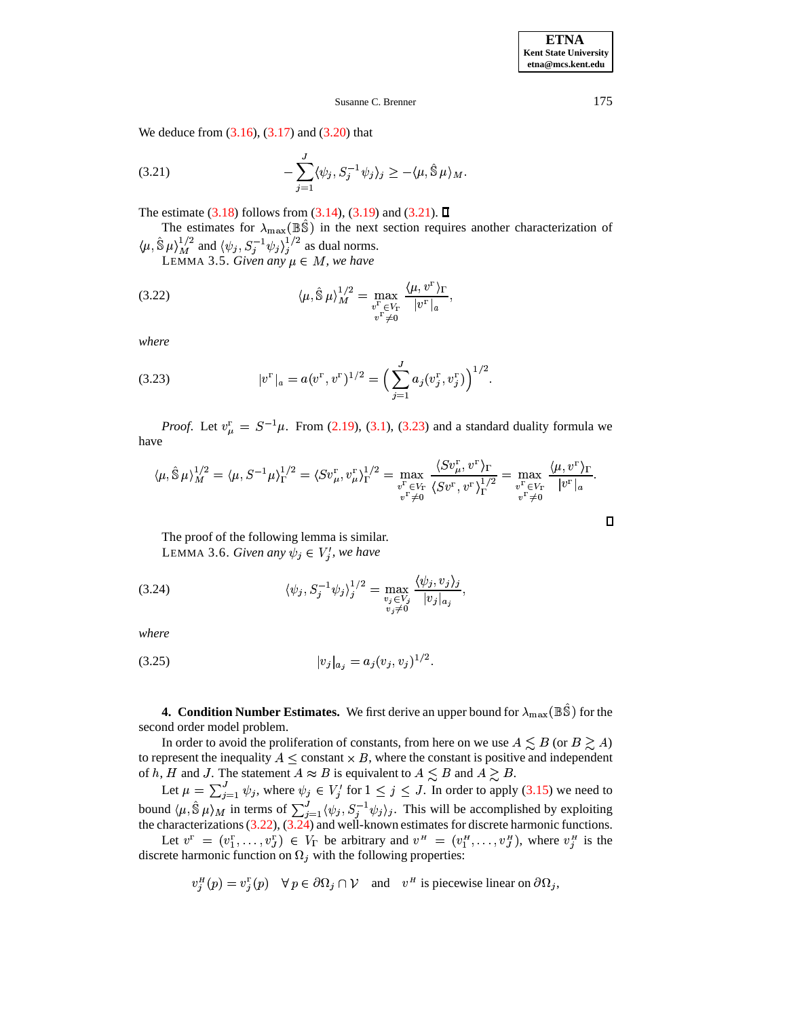**ETNA Kent State University etna@mcs.kent.edu**

### <span id="page-10-1"></span>Susanne C. Brenner 175

We deduce from  $(3.16)$ ,  $(3.17)$  and  $(3.20)$  that

(3.21) 
$$
-\sum_{j=1}^{J} \langle \psi_j, S_j^{-1} \psi_j \rangle_j \geq -\langle \mu, \hat{\mathbb{S}} \mu \rangle_M.
$$

The estimate [\(3.18\)](#page-9-5) follows from [\(3.14\)](#page-8-4), [\(3.19\)](#page-9-6) and [\(3.21\)](#page-10-1).  $\square$ 

The estimates for  $\lambda_{\text{max}}(\mathbb{B}\hat{\mathbb{S}})$  in the next section requires another characterization of  $\langle \mu, \hat{\mathbb{S}} | \mu \rangle_M^{1/2}$  and  $\langle \psi_j, S_j^{-1} \psi_j \rangle_j^{1/2}$  as dual norms.

<span id="page-10-3"></span>LEMMA 3.5. *Given any*  $\mu \in M$ , we have

$$
\langle \mu, \hat{\mathbb{S}} \mu \rangle_M^{1/2} = \max_{\substack{v^{\Gamma} \in V_{\Gamma} \\ v^{\Gamma} \neq 0}} \frac{\langle \mu, v^{\Gamma} \rangle_{\Gamma}}{|v^{\Gamma}|_{a}},
$$

<span id="page-10-2"></span>*where*

(3.23) 
$$
|v^{\Gamma}|_{a} = a(v^{\Gamma}, v^{\Gamma})^{1/2} = \Big(\sum_{j=1}^{J} a_{j}(v_{j}^{\Gamma}, v_{j}^{\Gamma})\Big)^{1/2}.
$$

*Proof.* Let  $v_{\mu}^{\text{F}} = S^{-1}\mu$ . From [\(2.19\)](#page-6-4), [\(3.1\)](#page-6-7), [\(3.23\)](#page-10-2) and a standard duality formula we have

$$
\langle \mu, \hat{\mathbb{S}} \mu \rangle_M^{1/2} = \langle \mu, S^{-1} \mu \rangle_{\Gamma}^{1/2} = \langle S v_{\mu}^{\Gamma}, v_{\mu}^{\Gamma} \rangle_{\Gamma}^{1/2} = \max_{\substack{v^{\Gamma} \in V_{\Gamma} \\ v^{\Gamma} \neq 0}} \frac{\langle S v_{\mu}^{\Gamma}, v^{\Gamma} \rangle_{\Gamma}}{\langle S v^{\Gamma}, v^{\Gamma} \rangle_{\Gamma}^{1/2}} = \max_{\substack{v^{\Gamma} \in V_{\Gamma} \\ v^{\Gamma} \neq 0}} \frac{\langle \mu, v^{\Gamma} \rangle_{\Gamma}}{|v^{\Gamma}|_{a}}.
$$

\*

<span id="page-10-4"></span>The proof of the following lemma is similar. LEMMA 3.6. *Given any*  $\psi_j \in V'_j$ , we have

(3.24) 
$$
\langle \psi_j, S_j^{-1} \psi_j \rangle_j^{1/2} = \max_{\substack{v_j \in V_j \\ v_j \neq 0}} \frac{\langle \psi_j, v_j \rangle_j}{|v_j|_{a_j}},
$$

*where*

$$
(3.25) \t\t\t |v_j|_{a_j} = a_j(v_j, v_j)^{1/2}.
$$

<span id="page-10-0"></span>**4. Condition Number Estimates.** We first derive an upper bound for  $\lambda_{\text{max}}(\mathbb{B}\hat{\mathbb{S}})$  for the second order model problem.

In order to avoid the proliferation of constants, from here on we use  $A \leq B$  (or  $B \geq A$ ) to represent the inequality  $A \leq$  constant  $\times B$ , where the constant is positive and independent of h, H and J. The statement  $A \approx B$  is equivalent to  $A \leq B$  and  $A \geq B$ .

Let  $\mu = \sum_{i=1}^{J} \psi_i$ , where  $\psi_i \in V_i'$  for  $1 \leq j \leq J$ . In order to apply [\(3.15\)](#page-8-5) we need to bound  $\langle \mu, \hat{S} | \mu \rangle_M$  in terms of  $\sum_{i=1}^J \langle \psi_i, S_i^{-1} \psi_i \rangle_i$ . This will be accomplished by exploiting the characterizations  $(3.22)$ ,  $(3.24)$  and well-known estimates for discrete harmonic functions.

Let  $v^{\Gamma} = (v_1^{\Gamma}, \dots, v_J^{\Gamma}) \in V_{\Gamma}$  be arbitrary and  $v^{\mu} = (v_1^{\mu}, \dots, v_J^{\mu})$ , where  $v_j^{\mu}$  is the discrete harmonic function on  $\Omega_j$  with the following properties:

$$
v_j^H(p) = v_j^{\Gamma}(p) \quad \forall \ p \in \partial \Omega_j \cap \mathcal{V} \quad \text{and} \quad v^H \text{ is piecewise linear on } \partial \Omega_j,
$$

 $\Box$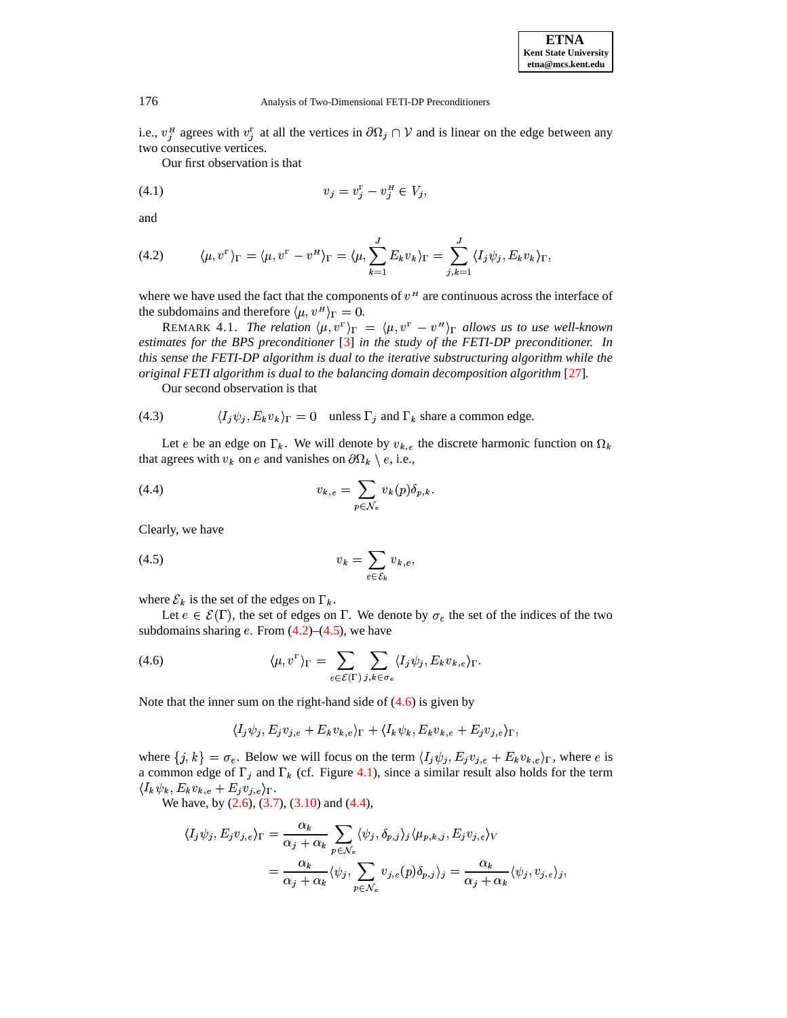i.e.,  $v_i^H$  agrees with  $v_i^T$  at all the vertices in  $\partial \Omega_i \cap V$  and is linear on the edge between any two consecutive vertices.

<span id="page-11-4"></span>Our first observation is that

<span id="page-11-0"></span>(4.1) 
$$
v_j = v_j^{\Gamma} - v_j^{\{H\}} \in V_j,
$$

and

(4.2) 
$$
\langle \mu, v^{\Gamma} \rangle_{\Gamma} = \langle \mu, v^{\Gamma} - v^{\Pi} \rangle_{\Gamma} = \langle \mu, \sum_{k=1}^{J} E_{k} v_{k} \rangle_{\Gamma} = \sum_{j,k=1}^{J} \langle I_{j} \psi_{j}, E_{k} v_{k} \rangle_{\Gamma},
$$

where we have used the fact that the components of  $v<sup>H</sup>$  are continuous across the interface of the subdomains and therefore  $\langle \mu, v^{\mu} \rangle_{\Gamma} = 0$ .

REMARK 4.1. *The relation*  $\langle \mu, v^{\Gamma} \rangle_{\Gamma} = \langle \mu, v^{\Gamma} - v^{\mu} \rangle_{\Gamma}$  allows us to use well-known *estimates for the BPS preconditioner* [\[3\]](#page-19-19) *in the study of the FETI-DP preconditioner. In this sense the FETI-DP algorithm is dual to the iterative substructuring algorithm while the original FETI algorithm is dual to the balancing domain decomposition algorithm* [\[27\]](#page-20-16)*.*

<span id="page-11-5"></span>Our second observation is that

(4.3) 
$$
\langle I_j \psi_j, E_k v_k \rangle_{\Gamma} = 0 \quad \text{unless } \Gamma_j \text{ and } \Gamma_k \text{ share a common edge.}
$$

Let e be an edge on  $\Gamma_k$ . We will denote by  $v_{k,e}$  the discrete harmonic function on  $\Omega_k$ that agrees with  $v_k$  on e and vanishes on  $\partial\Omega_k \setminus e$ , i.e.,

(4.4) 
$$
v_{k,e} = \sum_{p \in \mathcal{N}_e} v_k(p) \delta_{p,k}.
$$

<span id="page-11-1"></span>Clearly, we have

$$
(4.5) \t v_k = \sum_{e \in \mathcal{E}_k} v_{k,e},
$$

where  $\mathcal{E}_k$  is the set of the edges on  $\Gamma_k$ .

Let  $e \in \mathcal{E}(\Gamma)$ , the set of edges on  $\Gamma$ . We denote by  $\sigma_e$  the set of the indices of the two subdomains sharing  $e$ . From  $(4.2)$ – $(4.5)$ , we have

<span id="page-11-3"></span><span id="page-11-2"></span> 

(4.6) 
$$
\langle \mu, v^{\Gamma} \rangle_{\Gamma} = \sum_{e \in \mathcal{E}(\Gamma)} \sum_{j,k \in \sigma_e} \langle I_j \psi_j, E_k v_{k,e} \rangle_{\Gamma}.
$$

Note that the inner sum on the right-hand side of  $(4.6)$  is given by

$$
\langle I_j \psi_j, E_j v_{j,e} + E_k v_{k,e} \rangle_{\Gamma} + \langle I_k \psi_k, E_k v_{k,e} + E_j v_{j,e} \rangle_{\Gamma},
$$

where  $\{j, k\} = \sigma_e$ . Below we will focus on the term  $\langle I_j \psi_j, E_j v_{j,e} + E_k v_{k,e} \rangle_{\Gamma}$ , where e is a common edge of  $\Gamma_j$  and  $\Gamma_k$  (cf. Figure [4.1\)](#page-15-0), since a similar result also holds for the term  $\langle I_k \psi_k, E_k v_{k,e} + E_j v_{j,e} \rangle_{\Gamma}.$ 

We have, by  $(2.6)$ ,  $(3.7)$ ,  $(3.10)$  and  $(4.4)$ ,

$$
\langle I_j \psi_j, E_j v_{j,e} \rangle_{\Gamma} = \frac{\alpha_k}{\alpha_j + \alpha_k} \sum_{p \in \mathcal{N}_e} \langle \psi_j, \delta_{p,j} \rangle_j \langle \mu_{p,k,j}, E_j v_{j,e} \rangle_V
$$
  
= 
$$
\frac{\alpha_k}{\alpha_j + \alpha_k} \langle \psi_j, \sum_{p \in \mathcal{N}_e} v_{j,e}(p) \delta_{p,j} \rangle_j = \frac{\alpha_k}{\alpha_j + \alpha_k} \langle \psi_j, v_{j,e} \rangle_j,
$$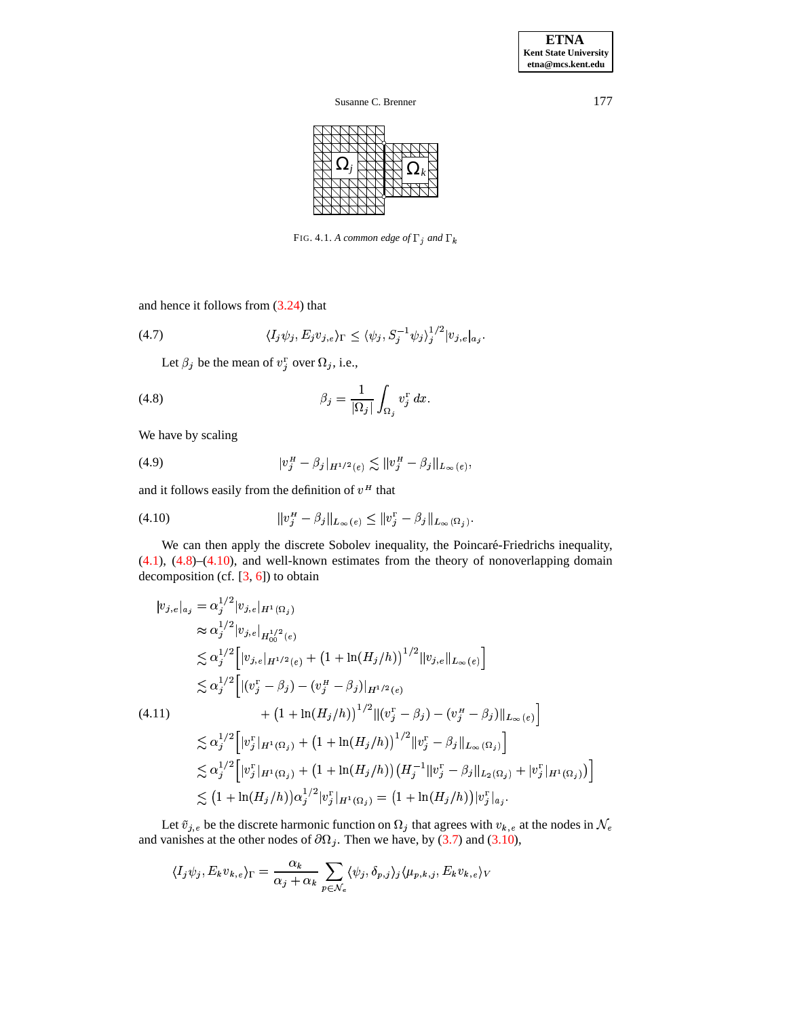$\Omega_j \bigoplus \bigoplus \Omega_k$ 

<span id="page-12-3"></span><span id="page-12-0"></span>FIG. 4.1. A common edge of  $\Gamma_i$  and  $\Gamma_k$ 

and hence it follows from [\(3.24\)](#page-10-4) that

$$
(4.7) \qquad \langle I_j \psi_j, E_j v_{j,e} \rangle_{\Gamma} \leq \langle \psi_j, S_j^{-1} \psi_j \rangle_j^{1/2} |v_{j,e}|_{a_j}.
$$

Let  $\beta_i$  be the mean of  $v_i^{\Gamma}$  over  $\Omega_i$ , i.e.,

(4.8) 
$$
\beta_j = \frac{1}{|\Omega_j|} \int_{\Omega_j} v_j^{\mathbf{r}} dx.
$$

We have by scaling

<span id="page-12-1"></span>(4.9) 
$$
|v_j^H - \beta_j|_{H^{1/2}(e)} \lesssim ||v_j^H - \beta_j||_{L_{\infty}(e)},
$$

and it follows easily from the definition of  $v<sup>H</sup>$  that

(4.10) 
$$
||v_j^H - \beta_j||_{L_{\infty}(e)} \le ||v_j^{\Gamma} - \beta_j||_{L_{\infty}(\Omega_j)}.
$$

We can then apply the discrete Sobolev inequality, the Poincaré-Friedrichs inequality, [\(4.1\)](#page-11-4), [\(4.8\)](#page-12-0)–[\(4.10\)](#page-12-1), and well-known estimates from the theory of nonoverlapping domain decomposition (cf.  $[3, 6]$  $[3, 6]$  $[3, 6]$ ) to obtain

<span id="page-12-2"></span>
$$
|v_{j,e}|_{a_j} = \alpha_j^{1/2} |v_{j,e}|_{H^1(\Omega_j)}
$$
  
\n
$$
\approx \alpha_j^{1/2} |v_{j,e}|_{H^{1/2}(e)}
$$
  
\n
$$
\lesssim \alpha_j^{1/2} \Big[ |v_{j,e}|_{H^{1/2}(e)} + (1 + \ln(H_j/h))^{1/2} ||v_{j,e}||_{L_{\infty}(e)} \Big]
$$
  
\n
$$
\lesssim \alpha_j^{1/2} \Big[ |(v_j^{\Gamma} - \beta_j) - (v_j^{\mu} - \beta_j) ||_{H^{1/2}(e)}
$$
  
\n(4.11)  
\n
$$
+ (1 + \ln(H_j/h))^{1/2} ||(v_j^{\Gamma} - \beta_j) - (v_j^{\mu} - \beta_j) ||_{L_{\infty}(e)} \Big]
$$
  
\n
$$
\lesssim \alpha_j^{1/2} \Big[ |v_j^{\Gamma}|_{H^1(\Omega_j)} + (1 + \ln(H_j/h))^{1/2} ||v_j^{\Gamma} - \beta_j ||_{L_{\infty}(\Omega_j)} \Big]
$$
  
\n
$$
\lesssim \alpha_j^{1/2} \Big[ |v_j^{\Gamma}|_{H^1(\Omega_j)} + (1 + \ln(H_j/h)) (H_j^{-1} || v_j^{\Gamma} - \beta_j ||_{L_2(\Omega_j)} + |v_j^{\Gamma}|_{H^1(\Omega_j)}) \Big]
$$
  
\n
$$
\lesssim (1 + \ln(H_j/h)) \alpha_j^{1/2} |v_j^{\Gamma}|_{H^1(\Omega_j)} = (1 + \ln(H_j/h)) |v_j^{\Gamma}|_{a_j}.
$$

Let  $\tilde{v}_{j,e}$  be the discrete harmonic function on  $\Omega_j$  that agrees with  $v_{k,e}$  at the nodes in  $\mathcal N$ and vanishes at the other nodes of  $\partial\Omega_j$ . Then we have, by [\(3.7\)](#page-7-0) and [\(3.10\)](#page-8-2),

$$
\langle I_j \psi_j, E_k v_{k,e} \rangle_{\Gamma} = \frac{\alpha_k}{\alpha_j + \alpha_k} \sum_{p \in \mathcal{N}_e} \langle \psi_j, \delta_{p,j} \rangle_j \langle \mu_{p,k,j}, E_k v_{k,e} \rangle_V
$$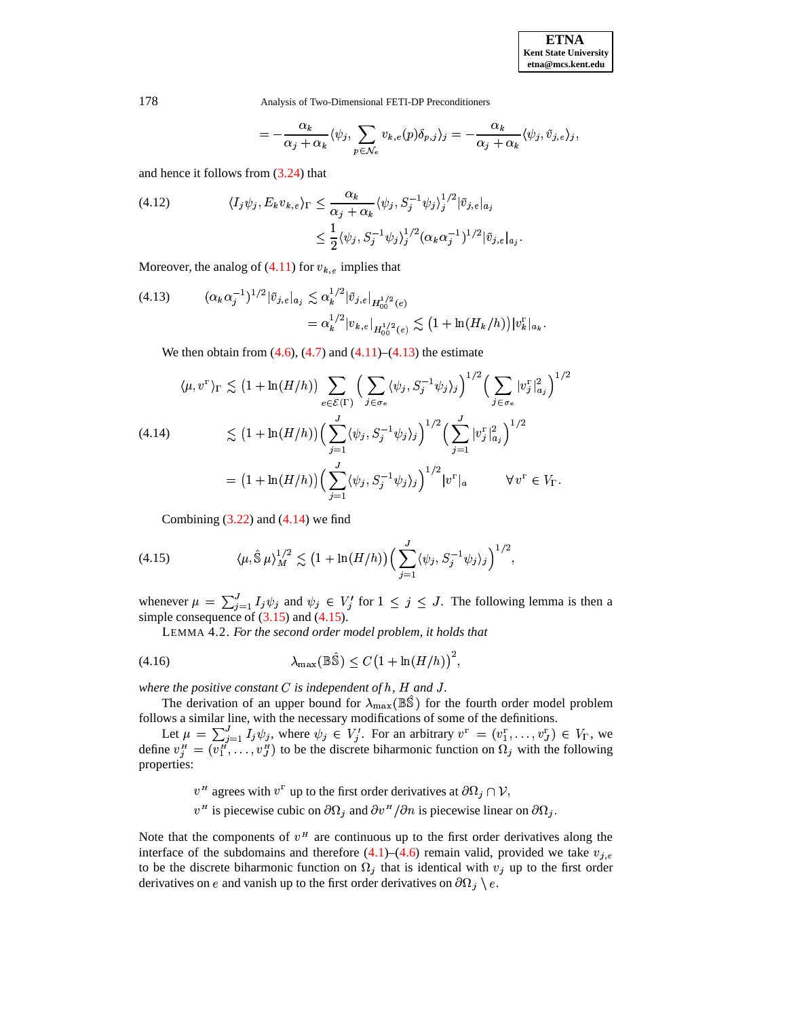$$
= - \frac{\alpha_k}{\alpha_j + \alpha_k} \langle \psi_j, \sum_{p \in \mathcal{N}_e} v_{k,e}(p) \delta_{p,j} \rangle_j = - \frac{\alpha_k}{\alpha_j + \alpha_k} \langle \psi_j, \tilde{v}_{j,e} \rangle_j,
$$

<span id="page-13-3"></span>and hence it follows from  $(3.24)$  that

(4.12) 
$$
\langle I_j \psi_j, E_k v_{k,e} \rangle_{\Gamma} \leq \frac{\alpha_k}{\alpha_j + \alpha_k} \langle \psi_j, S_j^{-1} \psi_j \rangle_j^{1/2} |\tilde{v}_{j,e}|_{a_j} \leq \frac{1}{2} \langle \psi_j, S_j^{-1} \psi_j \rangle_j^{1/2} (\alpha_k \alpha_j^{-1})^{1/2} |\tilde{v}_{j,e}|_{a_j}.
$$

<span id="page-13-0"></span>Moreover, the analog of  $(4.11)$  for  $v_{k,e}$  implies that

$$
(4.13) \qquad (\alpha_k \alpha_j^{-1})^{1/2} |\tilde{v}_{j,e}|_{a_j} \lesssim \alpha_k^{1/2} |\tilde{v}_{j,e}|_{H_0^{1/2}(e)} = \alpha_k^{1/2} |v_{k,e}|_{H_0^{1/2}(e)} \lesssim (1 + \ln(H_k/h)) |v_k^{\Gamma}|_{a_k}.
$$

We then obtain from  $(4.6)$ ,  $(4.7)$  and  $(4.11)$ – $(4.13)$  the estimate

<span id="page-13-1"></span>
$$
\langle \mu, v^{\Gamma} \rangle_{\Gamma} \lesssim (1 + \ln(H/h)) \sum_{e \in \mathcal{E}(\Gamma)} \Big( \sum_{j \in \sigma_e} \langle \psi_j, S_j^{-1} \psi_j \rangle_j \Big)^{1/2} \Big( \sum_{j \in \sigma_e} |v_j^{\Gamma}|_{a_j}^2 \Big)^{1/2}
$$
  
(4.14)  

$$
\lesssim (1 + \ln(H/h)) \Big( \sum_{j=1}^J \langle \psi_j, S_j^{-1} \psi_j \rangle_j \Big)^{1/2} \Big( \sum_{j=1}^J |v_j^{\Gamma}|_{a_j}^2 \Big)^{1/2}
$$

$$
= (1 + \ln(H/h)) \Big( \sum_{j=1}^J \langle \psi_j, S_j^{-1} \psi_j \rangle_j \Big)^{1/2} |v^{\Gamma}|_a \qquad \forall v^{\Gamma} \in V_{\Gamma}.
$$

<span id="page-13-2"></span>Combining  $(3.22)$  and  $(4.14)$  we find

(4.15) 
$$
\langle \mu, \hat{\mathbb{S}} \mu \rangle_M^{1/2} \lesssim \left(1 + \ln(H/h)\right) \Big( \sum_{j=1}^J \langle \psi_j, S_j^{-1} \psi_j \rangle_j \Big)^{1/2},
$$

whenever  $\mu = \sum_{i=1}^{J} I_i \psi_i$  and  $\psi_i \in V'_i$  for  $1 \leq j \leq J$ . The following lemma is then a simple consequence of  $(3.15)$  and  $(4.15)$ .

<span id="page-13-4"></span>LEMMA 4.2. *For the second order model problem, it holds that*

$$
\lambda_{\max}(\mathbb{B}\hat{\mathbb{S}}) \le C \left(1 + \ln(H/h)\right)^2,
$$

*where the positive constant*  $C$  *is independent of h, H and J.* 

The derivation of an upper bound for  $\lambda_{\max}(\mathbb{B}\hat{\mathbb{S}})$  for the fourth order model problem follows a similar line, with the necessary modifications of some of the definitions.

<span id="page-13-5"></span>the contract of the contract of the contract of

Let  $\mu = \sum_{i=1}^J I_i \psi_i$ , where  $\psi_i \in V_i'$ . For an arbitrary  $v^{\Gamma} = (v_1^{\Gamma}, \dots, v_J^{\Gamma}) \in V_{\Gamma}$ , we define  $v_i^H = (v_1^H, \ldots, v_J^H)$  to be the discrete biharmonic function on  $\Omega_i$  with the following properties:

- $v^H$  agrees with  $v^F$  up to the first order derivatives at  $\partial\Omega_j \cap \mathcal{V}$ ,
- $v<sup>H</sup>$  is piecewise cubic on  $\partial\Omega_i$  and  $\partial v<sup>H</sup>/\partial n$  is piecewise linear on  $\partial\Omega_i$ .

Note that the components of  $v<sup>H</sup>$  are continuous up to the first order derivatives along the interface of the subdomains and therefore  $(4.1)$ – $(4.6)$  remain valid, provided we take  $v_{j,e}$ to be the discrete biharmonic function on  $\Omega_j$  that is identical with  $v_j$  up to the first order derivatives on e and vanish up to the first order derivatives on  $\partial\Omega_i \setminus e$ .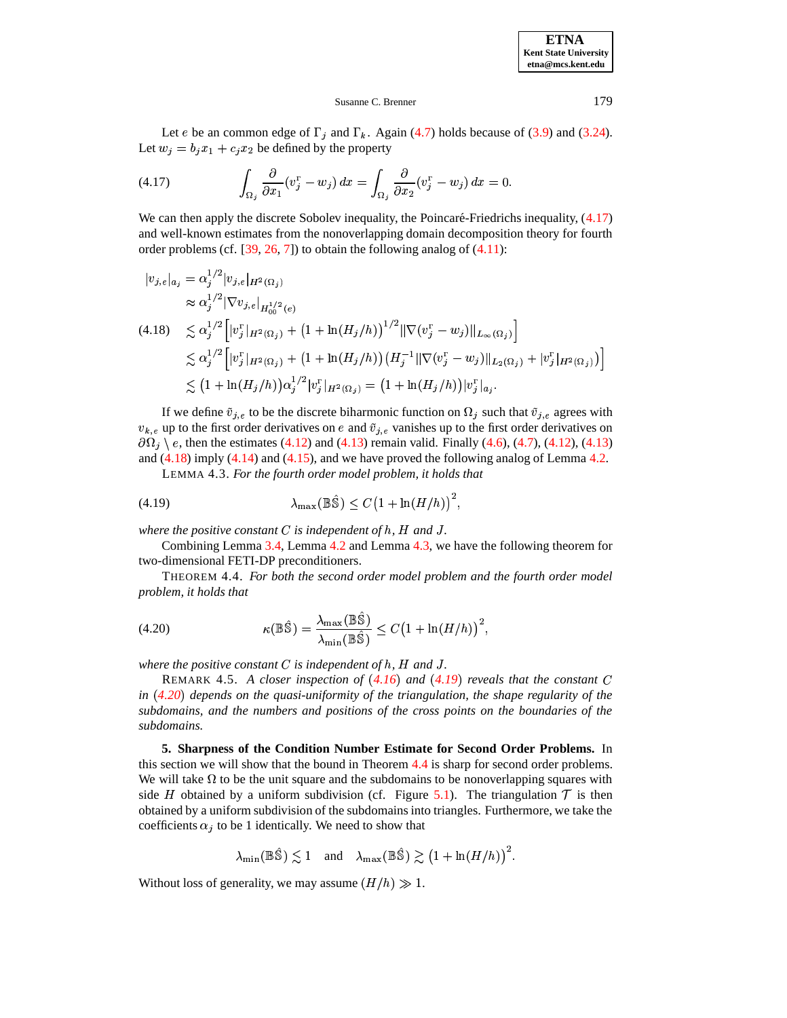**ETNA Kent State University etna@mcs.kent.edu**

### <span id="page-14-1"></span>Susanne C. Brenner 179

Let *e* be an common edge of  $\Gamma_i$  and  $\Gamma_k$ . Again [\(4.7\)](#page-12-3) holds because of [\(3.9\)](#page-8-0) and [\(3.24\)](#page-10-4). Let  $w_i = b_i x_1 + c_i x_2$  be defined by the property

(4.17) 
$$
\int_{\Omega_j} \frac{\partial}{\partial x_1} (v_j^{\Gamma} - w_j) dx = \int_{\Omega_j} \frac{\partial}{\partial x_2} (v_j^{\Gamma} - w_j) dx = 0.
$$

We can then apply the discrete Sobolev inequality, the Poincaré-Friedrichs inequality,  $(4.17)$ and well-known estimates from the nonoverlapping domain decomposition theory for fourth order problems (cf.  $[39, 26, 7]$  $[39, 26, 7]$  $[39, 26, 7]$  $[39, 26, 7]$  $[39, 26, 7]$ ) to obtain the following analog of  $(4.11)$ :

<span id="page-14-2"></span>
$$
|v_{j,e}|_{a_j} = \alpha_j^{1/2} |v_{j,e}|_{H^2(\Omega_j)}
$$
  
\n
$$
\approx \alpha_j^{1/2} |\nabla v_{j,e}|_{H^{1/2}_{0}(e)}
$$
  
\n(4.18) 
$$
\lesssim \alpha_j^{1/2} \Big[ |v_j^{\Gamma}|_{H^2(\Omega_j)} + (1 + \ln(H_j/h))^{1/2} ||\nabla(v_j^{\Gamma} - w_j)||_{L_{\infty}(\Omega_j)} \Big]
$$
  
\n
$$
\lesssim \alpha_j^{1/2} \Big[ |v_j^{\Gamma}|_{H^2(\Omega_j)} + (1 + \ln(H_j/h)) (H_j^{-1} ||\nabla(v_j^{\Gamma} - w_j)||_{L_2(\Omega_j)} + |v_j^{\Gamma}|_{H^2(\Omega_j)}) \Big]
$$
  
\n
$$
\lesssim (1 + \ln(H_j/h)) \alpha_j^{1/2} |v_j^{\Gamma}|_{H^2(\Omega_j)} = (1 + \ln(H_j/h)) |v_j^{\Gamma}|_{a_j}.
$$

If we define  $\tilde{v}_{j,e}$  to be the discrete biharmonic function on  $\Omega_j$  such that  $\tilde{v}_{j,e}$  agrees with  $v_{k,e}$  up to the first order derivatives on e and  $\tilde{v}_{j,e}$  vanishes up to the first order derivatives on  $\partial\Omega_i \, \rangle$  e, then the estimates [\(4.12\)](#page-13-3) and [\(4.13\)](#page-13-0) remain valid. Finally [\(4.6\)](#page-11-2), [\(4.7\)](#page-12-3), (4.12), (4.13) and  $(4.18)$  imply  $(4.14)$  and  $(4.15)$ , and we have proved the following analog of Lemma [4.2.](#page-13-4)

<span id="page-14-6"></span><span id="page-14-4"></span>LEMMA 4.3. *For the fourth order model problem, it holds that*

$$
\lambda_{\max}(\mathbb{B}\hat{\mathbb{S}}) \le C \left(1 + \ln(H/h)\right)^2,
$$

*where the positive constant*  $C$  *is independent of h, H and J.* 

Combining Lemma [3.4,](#page-9-7) Lemma [4.2](#page-13-4) and Lemma [4.3,](#page-14-3) we have the following theorem for two-dimensional FETI-DP preconditioners.

<span id="page-14-5"></span>THEOREM 4.4. *For both the second order model problem and the fourth order model problem, it holds that*

(4.20) 
$$
\kappa(\mathbb{B}\hat{\mathbb{S}}) = \frac{\lambda_{\max}(\mathbb{B}\hat{\mathbb{S}})}{\lambda_{\min}(\mathbb{B}\hat{\mathbb{S}})} \leq C \left(1 + \ln(H/h)\right)^2,
$$

*where the positive constant*  $C$  *is independent of h, H and J.* 

REMARK 4.5. A closer inspection of  $(4.16)$  $(4.16)$  $(4.16)$  and  $(4.19)$  $(4.19)$  $(4.19)$  reveals that the constant C *in [4.20](#page-14-5)*" *depends on the quasi-uniformity of the triangulation, the shape regularity of the subdomains, and the numbers and positions of the cross points on the boundaries of the subdomains.*

<span id="page-14-0"></span>**5. Sharpness of the Condition Number Estimate for Second Order Problems.** In this section we will show that the bound in Theorem [4.4](#page-14-6) is sharp for second order problems. We will take  $\Omega$  to be the unit square and the subdomains to be nonoverlapping squares with side *H* obtained by a uniform subdivision (cf. Figure [5.1\)](#page-15-0). The triangulation  $\mathcal T$  is then obtained by a uniform subdivision of the subdomains into triangles. Furthermore, we take the coefficients  $\alpha_j$  to be 1 identically. We need to show that

$$
\lambda_{\min}(\mathbb{B}\hat{\mathbb{S}}) \lesssim 1 \quad \text{and} \quad \lambda_{\max}(\mathbb{B}\hat{\mathbb{S}}) \gtrsim \big(1 + \ln(H/h)\big)^2.
$$

Without loss of generality, we may assume  $(H/h) \gg 1$ .

<span id="page-14-3"></span>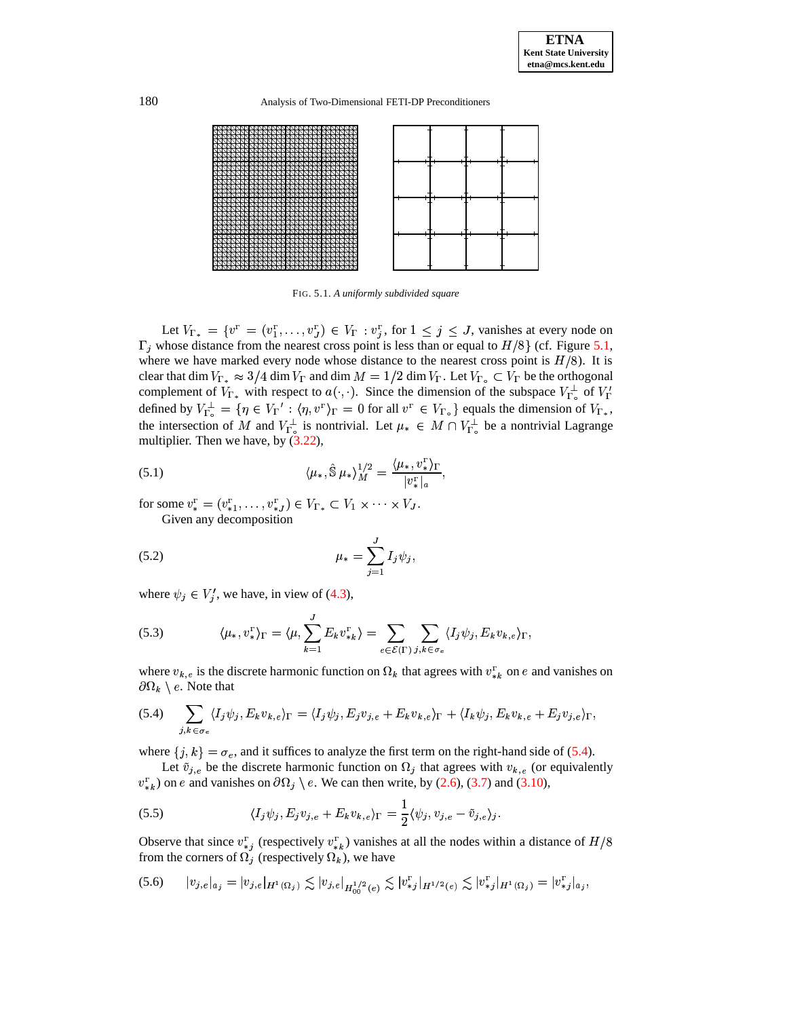180 Analysis of Two-Dimensional FETI-DP Preconditioners



<span id="page-15-0"></span>FIG. 5.1. *A uniformly subdivided square*

Let  $V_{\Gamma_{*}} = \{v^{\Gamma} = (v^{\Gamma}_{1}, \ldots, v^{\Gamma}_{J}) \in V_{\Gamma} : v^{\Gamma}_{j}, \text{ for } 1 \leq j \leq J, \text{ vanishes at every node on} \}$  $\Gamma_i$  whose distance from the nearest cross point is less than or equal to  $H/8$  (cf. Figure [5.1,](#page-15-0) where we have marked every node whose distance to the nearest cross point is  $H/8$ ). It is clear that dim  $V_{\Gamma_*} \approx 3/4$  dim  $V_{\Gamma}$  and dim  $M = 1/2$  dim  $V_{\Gamma}$ . Let  $V_{\Gamma_o} \subset V_{\Gamma}$  be the orthogonal complement of  $V_{\Gamma_*}$  with respect to  $a(\cdot, \cdot)$ . Since the dimension of the subspace  $V_{\Gamma}^{\perp}$  of  $V_{\Gamma}^{\prime}$ defined by  $V_{\Gamma_2}^{\perp} = \{ \eta \in V_{\Gamma}': \langle \eta, v^{\Gamma} \rangle_{\Gamma} = 0 \text{ for all } v^{\Gamma} \in V_{\Gamma_0} \}$  equals the dimension of  $V_{\Gamma_*}$ , the intersection of M and  $V_{\Gamma_o}^{\perp}$  is nontrivial. Let  $\mu_* \in M \cap V_{\Gamma_o}^{\perp}$  be a nontrivial Lagrange multiplier. Then we have, by  $(3.22)$ ,

<span id="page-15-4"></span>(5.1) 
$$
\langle \mu_*, \hat{\mathbb{S}} \, \mu_* \rangle_M^{1/2} = \frac{\langle \mu_*, v_*^{\Gamma} \rangle_{\Gamma}}{|v_*^{\Gamma}|_a},
$$

<span id="page-15-5"></span>for some  $v_*^{\Gamma} = (v_{*1}^{\Gamma}, \ldots, v_{*J}^{\Gamma}) \in V_{\Gamma_{*}} \subset V_1 \times \cdots \times V_J$ . Given any decomposition

(5.2) 
$$
\mu_* = \sum_{j=1}^J I_j \psi_j,
$$

<span id="page-15-3"></span>where  $\psi_j \in V'_i$ , we have, in view of [\(4.3\)](#page-11-5),

(5.3) 
$$
\langle \mu_*, v_*^{\Gamma} \rangle_{\Gamma} = \langle \mu, \sum_{k=1}^{J} E_k v_{*k}^{\Gamma} \rangle = \sum_{e \in \mathcal{E}(\Gamma)} \sum_{j,k \in \sigma_e} \langle I_j \psi_j, E_k v_{k,e} \rangle_{\Gamma},
$$

<span id="page-15-1"></span>where  $v_{k,e}$  is the discrete harmonic function on  $\Omega_k$  that agrees with  $v_{k}^r$  on e and vanishes on  $\partial\Omega_k\setminus e.$  Note that

$$
(5.4) \quad \sum_{j,k \in \sigma_e} \langle I_j \psi_j, E_k v_{k,e} \rangle_{\Gamma} = \langle I_j \psi_j, E_j v_{j,e} + E_k v_{k,e} \rangle_{\Gamma} + \langle I_k \psi_j, E_k v_{k,e} + E_j v_{j,e} \rangle_{\Gamma},
$$

where  $\{j, k\} = \sigma_e$ , and it suffices to analyze the first term on the right-hand side of [\(5.4\)](#page-15-1).

<span id="page-15-2"></span>Let  $\tilde{v}_{j,e}$  be the discrete harmonic function on  $\Omega_j$  that agrees with  $v_{k,e}$  (or equivalently  $v_{\ast k}^{\Gamma}$  on e and vanishes on  $\partial \Omega_i \setminus e$ . We can then write, by [\(2.6\)](#page-2-0), [\(3.7\)](#page-7-0) and [\(3.10\)](#page-8-2),

(5.5) 
$$
\langle I_j \psi_j, E_j v_{j,e} + E_k v_{k,e} \rangle_{\Gamma} = \frac{1}{2} \langle \psi_j, v_{j,e} - \tilde{v}_{j,e} \rangle_j.
$$

Observe that since  $v_{\ast i}^{\Gamma}$  (respectively  $v_{\ast k}^{\Gamma}$ ) vanishes at all the nodes within a distance of  $H/8$ from the corners of  $\Omega_j$  (respectively  $\Omega_k$ ), we have<br>
(5.6)  $|v_{j,k}|_{\Omega_k} = |v_{j,k}|_{H^1(\Omega_k)} \le |v_{j,k}|_{\Omega_k}$ 

(5.6) 
$$
|v_{j,e}|_{a_j} = |v_{j,e}|_{H^1(\Omega_j)} \lesssim |v_{j,e}|_{H^{1/2}_{00}(e)} \lesssim |v_{*j}^{\Gamma}|_{H^{1/2}(e)} \lesssim |v_{*j}^{\Gamma}|_{H^1(\Omega_j)} = |v_{*j}^{\Gamma}|_{a_j},
$$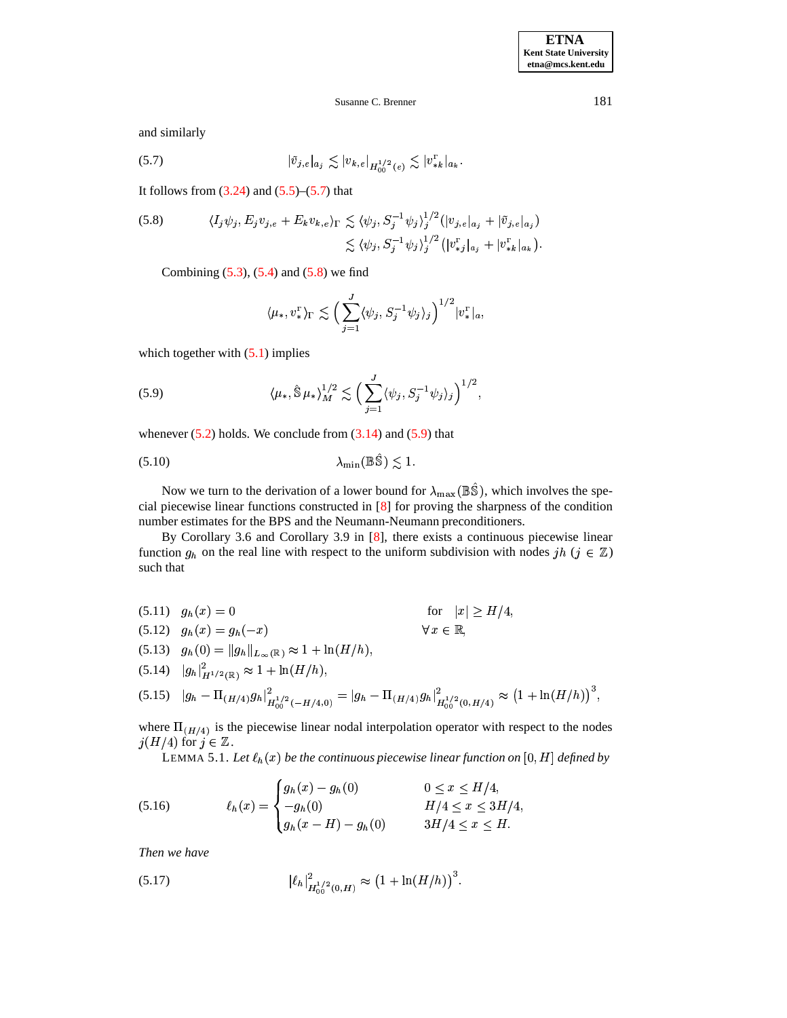**ETNA Kent State University etna@mcs.kent.edu**

## Susanne C. Brenner 181

<span id="page-16-0"></span>and similarly

$$
(5.7) \t\t\t |\tilde{v}_{j,e}|_{a_j} \lesssim |v_{k,e}|_{H_{00}^{1/2}(e)} \lesssim |v_{*k}^{\Gamma}|_{a_k}.
$$

<span id="page-16-1"></span>It follows from  $(3.24)$  and  $(5.5)$ – $(5.7)$  that

$$
(5.8) \qquad \langle I_j \psi_j, E_j v_{j,e} + E_k v_{k,e} \rangle_{\Gamma} \lesssim \langle \psi_j, S_j^{-1} \psi_j \rangle_j^{1/2} (|v_{j,e}|_{a_j} + |\tilde{v}_{j,e}|_{a_j})
$$

$$
\lesssim \langle \psi_j, S_j^{-1} \psi_j \rangle_j^{1/2} (|v_{*j}^{\Gamma}|_{a_j} + |v_{*k}^{\Gamma}|_{a_k}).
$$

Combining  $(5.3)$ ,  $(5.4)$  and  $(5.8)$  we find

<span id="page-16-9"></span><span id="page-16-2"></span>
$$
\langle \mu_*, v_*^{\scriptscriptstyle \Gamma} \rangle_{\Gamma} \lesssim \Big( \sum_{j=1}^J \langle \psi_j, S_j^{-1} \psi_j \rangle_j \Big)^{1/2} |v_*^{\scriptscriptstyle \Gamma}|_a,
$$

which together with  $(5.1)$  implies

(5.9) 
$$
\langle \mu_*, \hat{\mathbb{S}} \mu_* \rangle_M^{1/2} \lesssim \Big( \sum_{j=1}^J \langle \psi_j, S_j^{-1} \psi_j \rangle_j \Big)^{1/2},
$$

whenever  $(5.2)$  holds. We conclude from  $(3.14)$  and  $(5.9)$  that

$$
\lambda_{\min}(\mathbb{B}\hat{\mathbb{S}}) \lesssim 1.
$$

Now we turn to the derivation of a lower bound for  $\lambda_{\text{max}}(\mathbb{B}\hat{\mathbb{S}})$ , which involves the special piecewise linear functions constructed in [\[8\]](#page-19-15) for proving the sharpness of the condition number estimates for the BPS and the Neumann-Neumann preconditioners.

By Corollary 3.6 and Corollary 3.9 in [\[8\]](#page-19-15), there exists a continuous piecewise linear function  $g_h$  on the real line with respect to the uniform subdivision with nodes  $jh$  ( $j \in \mathbb{Z}$ ) such that

<span id="page-16-6"></span> $\forall x \in \mathbb{R},$ 

<span id="page-16-7"></span>(5.11)  $g_h(x) = 0$  for  $|x| \ge H/4$ , for  $|x| \ge H/4$ ,

<span id="page-16-3"></span>
$$
(5.12) \quad g_h(x) = g_h(-x)
$$

$$
(5.13) \quad g_h(0) = \|g_h\|_{L_{\infty}(\mathbb{R})} \approx 1 + \ln(H/h),
$$

<span id="page-16-8"></span><span id="page-16-4"></span> $(5.14)$   $|g_h|_{H^{1/2}(\mathbb{R})}^2 \approx 1 + \ln(H/h),$ 

$$
(5.15) \quad |g_h - \Pi_{(H/4)}g_h|_{H_{00}^{1/2}(-H/4,0)}^2 = |g_h - \Pi_{(H/4)}g_h|_{H_{00}^{1/2}(0,H/4)}^2 \approx (1 + \ln(H/h))^3,
$$

where  $\Pi_{(H/4)}$  is the piecewise linear nodal interpolation operator with respect to the nodes  $j(H/4)$  for  $j \in \mathbb{Z}$ .

LEMMA 5.1. Let  $\ell_h(x)$  be the continuous piecewise linear function on  $[0, H]$  defined by

(5.16) 
$$
\ell_h(x) = \begin{cases} g_h(x) - g_h(0) & 0 \le x \le H/4, \\ -g_h(0) & H/4 \le x \le 3H/4, \\ g_h(x - H) - g_h(0) & 3H/4 \le x \le H. \end{cases}
$$

<span id="page-16-5"></span>*Then we have*

(5.17) 
$$
|\ell_h|_{H_{00}^{1/2}(0,H)}^2 \approx (1 + \ln(H/h))^3.
$$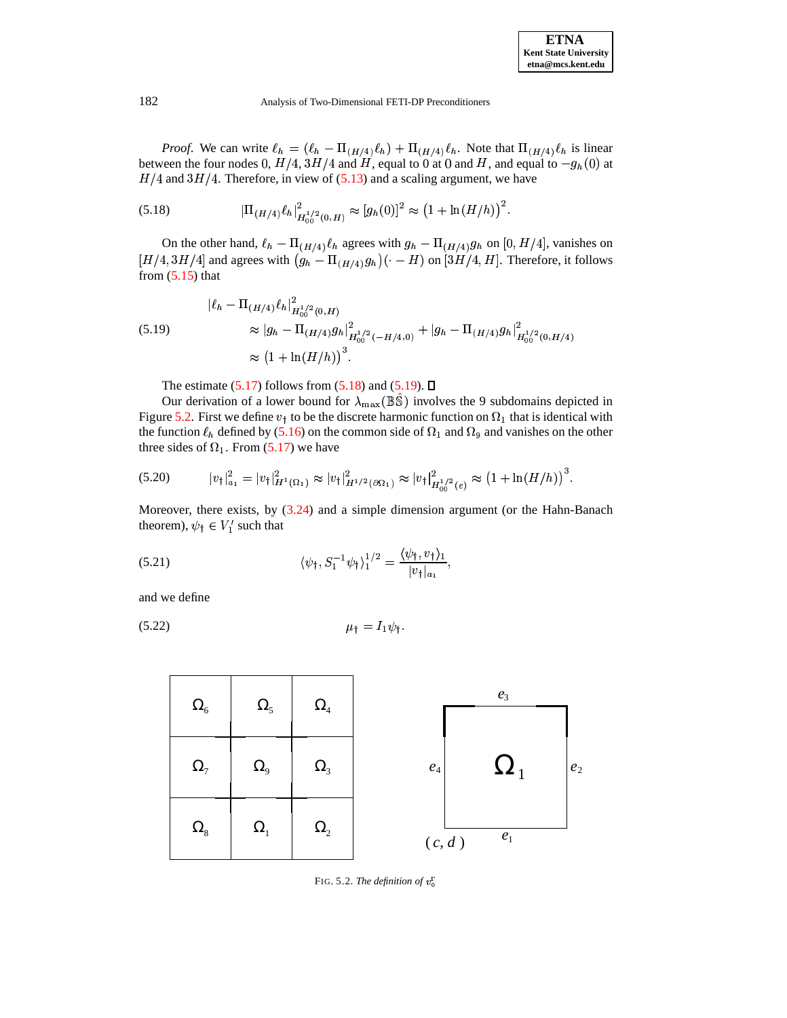<span id="page-17-1"></span>*Proof.* We can write  $\ell_h = (\ell_h - \Pi_{(H/4)} \ell_h) + \Pi_{(H/4)} \ell_h$ . Note that  $\Pi_{(H/4)} \ell_h$  is linear between the four nodes 0,  $H/4$ ,  $3H/4$  and  $H$ , equal to 0 at 0 and  $H$ , and equal to  $-g_h(0)$  at  $H/4$  and  $3H/4$ . Therefore, in view of [\(5.13\)](#page-16-3) and a scaling argument, we have

(5.18) 
$$
|\Pi_{(H/4)} \ell_h|_{H_{00}^{1/2}(0,H)}^2 \approx [g_h(0)]^2 \approx (1 + \ln(H/h))^2.
$$

On the other hand,  $\ell_h - \Pi_{(H/4)} \ell_h$  agrees with  $g_h - \Pi_{(H/4)} g_h$  on [0, H/4], vanishes on  $[H/4,3H/4]$  and agrees with  $(g_h - \Pi_{(H/4)} g_h)(\cdot - H)$  on  $[3H/4, H]$ . Therefore, it follows from  $(5.15)$  that

<span id="page-17-2"></span>
$$
\begin{aligned} |\ell_h - \Pi_{(H/4)} \ell_h|_{H_{00}^{1/2}(0,H)}^2 \\ &\approx |g_h - \Pi_{(H/4)} g_h|_{H_{00}^{1/2}(-H/4,0)}^2 + |g_h - \Pi_{(H/4)} g_h|_{H_{00}^{1/2}(0,H/4)}^2 \\ &\approx (1 + \ln(H/h))^3. \end{aligned}
$$

<span id="page-17-4"></span>The estimate  $(5.17)$  follows from  $(5.18)$  and  $(5.19)$ .  $\Box$ 

Our derivation of a lower bound for  $\lambda_{\text{max}}(\mathbb{B}\hat{\mathbb{S}})$  involves the 9 subdomains depicted in Figure [5.2.](#page-17-0) First we define  $v_t$  to be the discrete harmonic function on  $\Omega_1$  that is identical with the function  $\ell_h$  defined by [\(5.16\)](#page-16-6) on the common side of  $\Omega_1$  and  $\Omega_9$  and vanishes on the other three sides of  $\Omega_1$ . From [\(5.17\)](#page-16-5) we have

$$
(5.20) \t\t |v_{\dagger}|^2_{a_1} = |v_{\dagger}|^2_{H^1(\Omega_1)} \approx |v_{\dagger}|^2_{H^{1/2}(\partial \Omega_1)} \approx |v_{\dagger}|^2_{H^{1/2}_{00}(e)} \approx (1 + \ln(H/h))^3.
$$

<span id="page-17-5"></span>Moreover, there exists, by [\(3.24\)](#page-10-4) and a simple dimension argument (or the Hahn-Banach theorem),  $\psi$ <sup>†</sup>  $\in V'_1$  such that

(5.21) 
$$
\langle \psi_{\dagger}, S_1^{-1} \psi_{\dagger} \rangle_1^{1/2} = \frac{\langle \psi_{\dagger}, v_{\dagger} \rangle_1}{|v_{\dagger}|_{a_1}},
$$

<span id="page-17-3"></span>and we define

$$
\mu_{\dagger} = I_1 \psi_{\dagger}.
$$



<span id="page-17-0"></span>FIG. 5.2. *The definition of*  $v_{\circ}^{\Gamma}$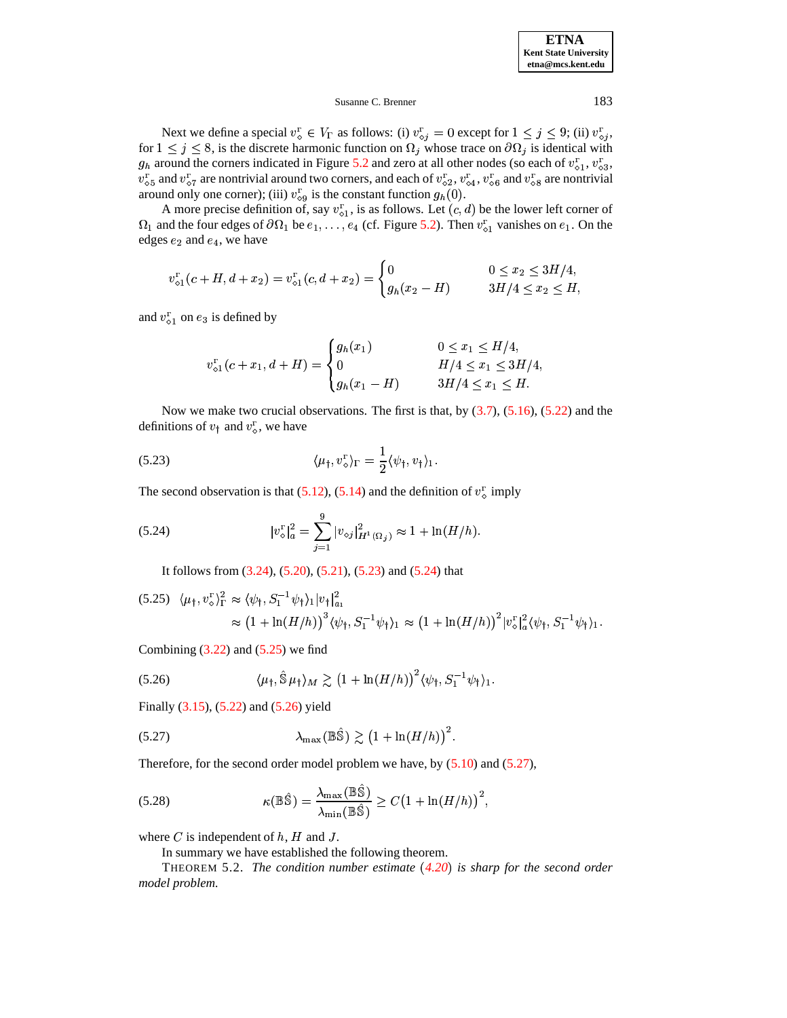**ETNA Kent State University etna@mcs.kent.edu**

## Susanne C. Brenner 183

Next we define a special  $v_s^{\Gamma} \in V_{\Gamma}$  as follows: (i)  $v_{s_i}^{\Gamma} = 0$  except for  $1 \leq j \leq 9$ ; (ii)  $v_{s_i}^{\Gamma}$ , for  $1 \leq j \leq 8$ , is the discrete harmonic function on  $\Omega_j$  whose trace on  $\partial \Omega_j$  is identical with  $g_h$  around the corners indicated in Figure [5.2](#page-17-0) and zero at all other nodes (so each of  $v_{s1}^{\Gamma}$ ,  $v_{s3}^{\Gamma}$ ,  $v_{5}^T$  and  $v_{57}^T$  are nontrivial around two corners, and each of  $v_{52}^T$ ,  $v_{54}^T$ ,  $v_{56}^T$  and  $v_{58}^T$  are nontrivial around only one corner); (iii)  $v_{\circ 9}^{\Gamma}$  is the constant function  $g_h(0)$ .

A more precise definition of, say  $v_{0}^{T}$ , is as follows. Let  $(c, d)$  be the lower left corner of  $\Omega_1$  and the four edges of  $\partial\Omega_1$  be  $e_1,\ldots,e_4$  (cf. Figure [5.2\)](#page-17-0). Then  $v_{\circ 1}^{\Gamma}$  vanishes on  $e_1$ . On the edges  $e_2$  and  $e_4$ , we have

$$
v_{\diamond 1}^{\Gamma}(c+H,d+x_2)=v_{\diamond 1}^{\Gamma}(c,d+x_2)=\begin{cases}0&0\leq x_2\leq 3H/4,\\ g_h(x_2-H)&3H/4\leq x_2\leq H,\end{cases}
$$

and  $v_{\diamond 1}^{\Gamma}$  on  $e_3$  is defined by

<span id="page-18-1"></span><span id="page-18-0"></span>
$$
v_{\diamond 1}^{\Gamma}(c+x_1, d+H) = \begin{cases} g_h(x_1) & 0 \le x_1 \le H/4, \\ 0 & H/4 \le x_1 \le 3H/4, \\ g_h(x_1-H) & 3H/4 \le x_1 \le H. \end{cases}
$$

Now we make two crucial observations. The first is that, by  $(3.7)$ ,  $(5.16)$ ,  $(5.22)$  and the definitions of  $v_t$  and  $v_s^r$ , we have

(5.23) 
$$
\langle \mu_{\dagger}, v_{\diamond}^{\Gamma} \rangle_{\Gamma} = \frac{1}{2} \langle \psi_{\dagger}, v_{\dagger} \rangle_{1}.
$$

The second observation is that [\(5.12\)](#page-16-7), [\(5.14\)](#page-16-8) and the definition of  $v_s^{\text{r}}$  imply

(5.24) 
$$
|v_{\diamond}^{\Gamma}|_{a}^{2} = \sum_{j=1}^{9} |v_{\diamond j}|_{H^{1}(\Omega_{j})}^{2} \approx 1 + \ln(H/h).
$$

<span id="page-18-3"></span>It follows from [\(3.24\)](#page-10-4), [\(5.20\)](#page-17-4), [\(5.21\)](#page-17-5), [\(5.23\)](#page-18-0) and [\(5.24\)](#page-18-1) that

<span id="page-18-2"></span>
$$
(5.25) \langle \mu_{\dagger}, v_{\diamond}^{\Gamma} \rangle_{\Gamma}^{2} \approx \langle \psi_{\dagger}, S_{1}^{-1} \psi_{\dagger} \rangle_{1} |v_{\dagger}|_{a_{1}}^{2}
$$
  
 
$$
\approx (1 + \ln(H/h))^{3} \langle \psi_{\dagger}, S_{1}^{-1} \psi_{\dagger} \rangle_{1} \approx (1 + \ln(H/h))^{2} |v_{\diamond}^{\Gamma}|_{a}^{2} \langle \psi_{\dagger}, S_{1}^{-1} \psi_{\dagger} \rangle_{1}.
$$

Combining  $(3.22)$  and  $(5.25)$  we find

<span id="page-18-4"></span>
$$
(5.26) \qquad \langle \mu_{\dagger}, \hat{\mathbb{S}} \mu_{\dagger} \rangle_M \gtrsim \left(1 + \ln(H/h)\right)^2 \langle \psi_{\dagger}, S_1^{-1} \psi_{\dagger} \rangle_1.
$$

Finally [\(3.15\)](#page-8-5), [\(5.22\)](#page-17-3) and [\(5.26\)](#page-18-3) yield

$$
\lambda_{\max}(\mathbb{B}\hat{\mathbb{S}}) \gtrsim (1 + \ln(H/h))^2.
$$

Therefore, for the second order model problem we have, by  $(5.10)$  and  $(5.27)$ ,

(5.28) 
$$
\kappa(\mathbb{B}\hat{\mathbb{S}}) = \frac{\lambda_{\max}(\mathbb{B}\hat{\mathbb{S}})}{\lambda_{\min}(\mathbb{B}\hat{\mathbb{S}})} \ge C\left(1 + \ln(H/h)\right)^2,
$$

where  $C$  is independent of  $h$ ,  $H$  and  $J$ .

In summary we have established the following theorem.

THEOREM 5.2. *The condition number estimate [4.20](#page-14-5)*" *is sharp for the second order model problem.*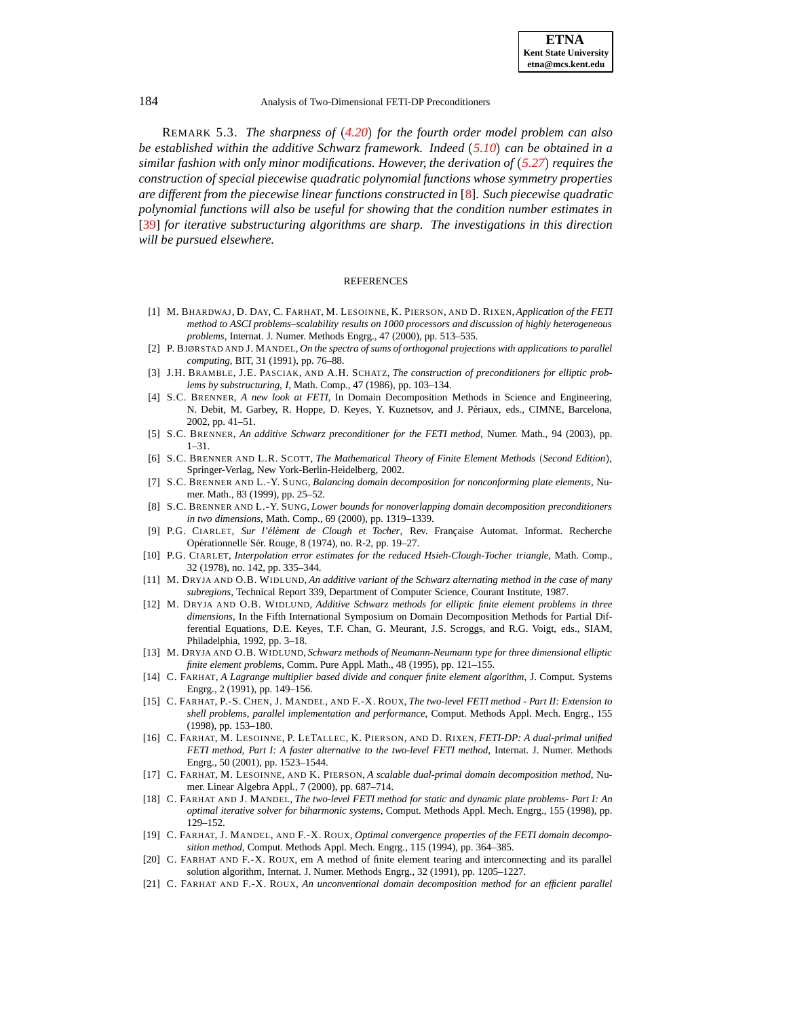REMARK 5.3. *The sharpness of [4.20](#page-14-5)*" *for the fourth order model problem can also be established within the additive Schwarz framework. Indeed [5.10](#page-16-9)*" *can be obtained in a similar fashion with only minor modifications. However, the derivation of [5.27](#page-18-4)*" *requires the construction of special piecewise quadratic polynomial functions whose symmetry properties are different from the piecewise linear functions constructed in* [\[8\]](#page-19-15)*. Such piecewise quadratic polynomial functions will also be useful for showing that the condition number estimates in* [\[39\]](#page-20-9) *for iterative substructuring algorithms are sharp. The investigations in this direction will be pursued elsewhere.*

#### REFERENCES

- <span id="page-19-6"></span>[1] M. BHARDWAJ, D. DAY, C. FARHAT, M. LESOINNE, K. PIERSON, AND D. RIXEN, *Application of the FETI method to ASCI problems–scalability results on 1000 processors and discussion of highly heterogeneous problems*, Internat. J. Numer. Methods Engrg., 47 (2000), pp. 513–535.
- <span id="page-19-19"></span><span id="page-19-12"></span>[2] P. BJØRSTAD AND J. MANDEL, *On the spectra of sums of orthogonal projections with applications to parallel computing*, BIT, 31 (1991), pp. 76–88.
- [3] J.H. BRAMBLE, J.E. PASCIAK, AND A.H. SCHATZ, *The construction of preconditioners for elliptic problems by substructuring, I*, Math. Comp., 47 (1986), pp. 103–134.
- <span id="page-19-8"></span>[4] S.C. BRENNER, *A new look at FETI*, In Domain Decomposition Methods in Science and Engineering, N. Debit, M. Garbey, R. Hoppe, D. Keyes, Y. Kuznetsov, and J. Périaux, eds., CIMNE, Barcelona, 2002, pp. 41–51.
- <span id="page-19-14"></span><span id="page-19-7"></span>[5] S.C. BRENNER, *An additive Schwarz preconditioner for the FETI method*, Numer. Math., 94 (2003), pp. 1–31.
- [6] S.C. BRENNER AND L.R. SCOTT, *The Mathematical Theory of Finite Element Methods Second Edition* , Springer-Verlag, New York-Berlin-Heidelberg, 2002.
- <span id="page-19-20"></span>[7] S.C. BRENNER AND L.-Y. SUNG, *Balancing domain decomposition for nonconforming plate elements*, Numer. Math., 83 (1999), pp. 25–52.
- <span id="page-19-15"></span>[8] S.C. BRENNER AND L.-Y. SUNG, *Lower bounds for nonoverlapping domain decomposition preconditioners in two dimensions*, Math. Comp., 69 (2000), pp. 1319–1339.
- <span id="page-19-16"></span>[9] P.G. CIARLET, *Sur l'el´ ement ´ de Clough et Tocher*, Rev. Franc¸aise Automat. Informat. Recherche Opérationnelle Sér. Rouge, 8 (1974), no. R-2, pp. 19–27.
- <span id="page-19-17"></span>[10] P.G. CIARLET, *Interpolation error estimates for the reduced Hsieh-Clough-Tocher triangle*, Math. Comp., 32 (1978), no. 142, pp. 335–344.
- <span id="page-19-11"></span>[11] M. DRYJA AND O.B. WIDLUND, *An additive variant of the Schwarz alternating method in the case of many subregions*, Technical Report 339, Department of Computer Science, Courant Institute, 1987.
- <span id="page-19-13"></span>[12] M. DRYJA AND O.B. WIDLUND, *Additive Schwarz methods for elliptic finite element problems in three dimensions*, In the Fifth International Symposium on Domain Decomposition Methods for Partial Differential Equations, D.E. Keyes, T.F. Chan, G. Meurant, J.S. Scroggs, and R.G. Voigt, eds., SIAM, Philadelphia, 1992, pp. 3–18.
- <span id="page-19-18"></span>[13] M. DRYJA AND O.B. WIDLUND, *Schwarz methods of Neumann-Neumann type for three dimensional elliptic finite element problems*, Comm. Pure Appl. Math., 48 (1995), pp. 121–155.
- <span id="page-19-0"></span>[14] C. FARHAT, *A Lagrange multiplier based divide and conquer finite element algorithm*, J. Comput. Systems Engrg., 2 (1991), pp. 149–156.
- <span id="page-19-5"></span>[15] C. FARHAT, P.-S. CHEN, J. MANDEL, AND F.-X. ROUX, *The two-level FETI method - Part II: Extension to shell problems, parallel implementation and performance*, Comput. Methods Appl. Mech. Engrg., 155 (1998), pp. 153–180.
- <span id="page-19-9"></span>[16] C. FARHAT, M. LESOINNE, P. LETALLEC, K. PIERSON, AND D. RIXEN, *FETI-DP: A dual-primal unified FETI method, Part I: A faster alternative to the two-level FETI method*, Internat. J. Numer. Methods Engrg., 50 (2001), pp. 1523–1544.
- <span id="page-19-10"></span>[17] C. FARHAT, M. LESOINNE, AND K. PIERSON, *A scalable dual-primal domain decomposition method*, Numer. Linear Algebra Appl., 7 (2000), pp. 687–714.
- <span id="page-19-4"></span>[18] C. FARHAT AND J. MANDEL, *The two-level FETI method for static and dynamic plate problems- Part I: An optimal iterative solver for biharmonic systems*, Comput. Methods Appl. Mech. Engrg., 155 (1998), pp. 129–152.
- <span id="page-19-3"></span>[19] C. FARHAT, J. MANDEL, AND F.-X. ROUX, *Optimal convergence properties of the FETI domain decomposition method*, Comput. Methods Appl. Mech. Engrg., 115 (1994), pp. 364–385.
- <span id="page-19-1"></span>[20] C. FARHAT AND F.-X. ROUX, em A method of finite element tearing and interconnecting and its parallel solution algorithm, Internat. J. Numer. Methods Engrg., 32 (1991), pp. 1205–1227.
- <span id="page-19-2"></span>[21] C. FARHAT AND F.-X. ROUX, *An unconventional domain decomposition method for an efficient parallel*